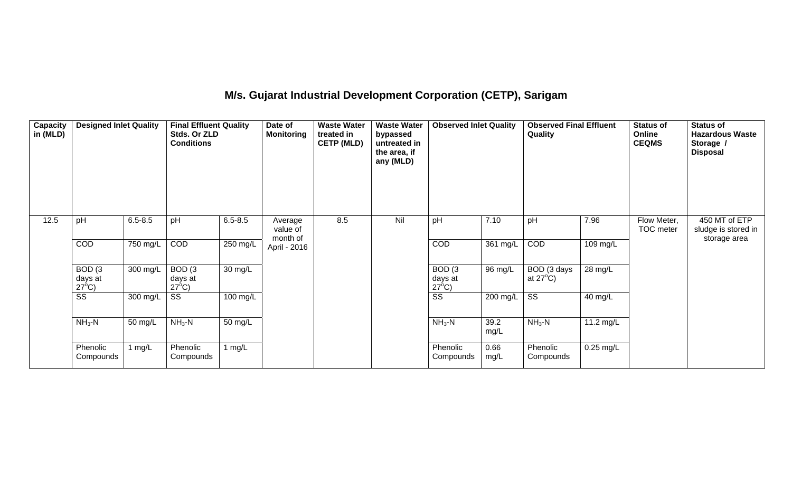# **M/s. Gujarat Industrial Development Corporation (CETP), Sarigam**

| Capacity<br>in (MLD) | <b>Designed Inlet Quality</b>                   |             | <b>Final Effluent Quality</b><br>Stds. Or ZLD<br><b>Conditions</b> |             | Date of<br><b>Monitoring</b> | <b>Waste Water</b><br>treated in<br><b>CETP (MLD)</b> | <b>Waste Water</b><br>bypassed<br>untreated in<br>the area, if<br>any (MLD) | <b>Observed Inlet Quality</b>                   |              | <b>Observed Final Effluent</b><br>Quality |             | <b>Status of</b><br>Online<br><b>CEQMS</b> | <b>Status of</b><br><b>Hazardous Waste</b><br>Storage /<br><b>Disposal</b> |
|----------------------|-------------------------------------------------|-------------|--------------------------------------------------------------------|-------------|------------------------------|-------------------------------------------------------|-----------------------------------------------------------------------------|-------------------------------------------------|--------------|-------------------------------------------|-------------|--------------------------------------------|----------------------------------------------------------------------------|
| 12.5                 | pH                                              | $6.5 - 8.5$ | pH                                                                 | $6.5 - 8.5$ | Average<br>value of          | 8.5                                                   | Nil                                                                         | pH                                              | 7.10         | pH                                        | 7.96        | Flow Meter,<br>TOC meter                   | 450 MT of ETP<br>sludge is stored in                                       |
|                      | <b>COD</b>                                      | 750 mg/L    | COD                                                                | 250 mg/L    | month of<br>April - 2016     |                                                       |                                                                             | <b>COD</b>                                      | 361 mg/L     | COD                                       | 109 mg/L    |                                            | storage area                                                               |
|                      | BOD <sub>(3</sub><br>days at<br>$27^{\circ}$ C) | 300 mg/L    | BOD <sub>(3</sub><br>days at<br>$27^{\circ}$ C)                    | 30 mg/L     |                              |                                                       |                                                                             | BOD <sub>(3</sub><br>days at<br>$27^{\circ}$ C) | 96 mg/L      | BOD (3 days<br>at $27^{\circ}$ C)         | 28 mg/L     |                                            |                                                                            |
|                      | $\overline{\text{ss}}$                          | 300 mg/L    | SS                                                                 | 100 mg/L    |                              |                                                       |                                                                             | $\overline{\text{ss}}$                          | 200 mg/L     | SS                                        | 40 mg/L     |                                            |                                                                            |
|                      | $NH3$ -N                                        | 50 mg/L     | $NH3-N$                                                            | 50 mg/L     |                              |                                                       |                                                                             | $NH3-N$                                         | 39.2<br>mg/L | $NH3-N$                                   | 11.2 mg/L   |                                            |                                                                            |
|                      | Phenolic<br>Compounds                           | 1 mg/L      | Phenolic<br>Compounds                                              | 1 $mg/L$    |                              |                                                       |                                                                             | Phenolic<br>Compounds                           | 0.66<br>mg/L | Phenolic<br>Compounds                     | $0.25$ mg/L |                                            |                                                                            |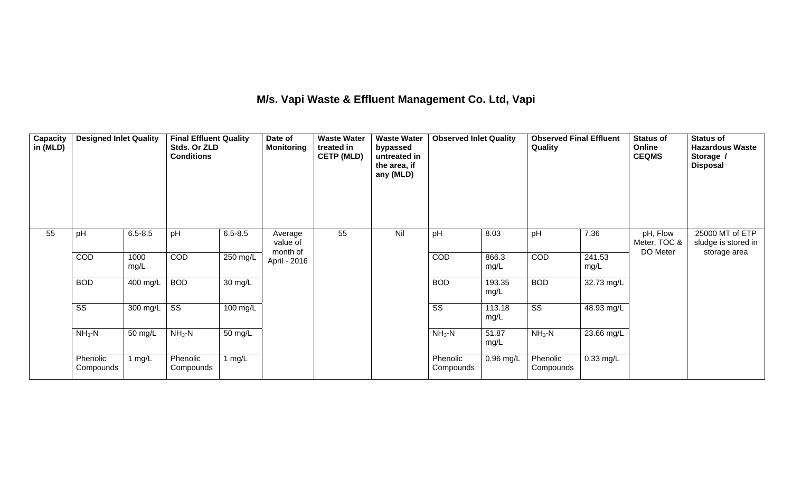## **M/s. Vapi Waste & Effluent Management Co. Ltd, Vapi**

| Capacity<br>in (MLD) | <b>Designed Inlet Quality</b> |              | <b>Final Effluent Quality</b><br>Stds. Or ZLD<br><b>Conditions</b> |             | Date of<br><b>Monitoring</b>    | <b>Waste Water</b><br>treated in<br><b>CETP (MLD)</b> | <b>Waste Water</b><br>bypassed<br>untreated in<br>the area, if<br>any (MLD) | <b>Observed Inlet Quality</b> |                | <b>Observed Final Effluent</b><br>Quality |                | <b>Status of</b><br>Online<br><b>CEQMS</b> | <b>Status of</b><br><b>Hazardous Waste</b><br>Storage /<br><b>Disposal</b> |
|----------------------|-------------------------------|--------------|--------------------------------------------------------------------|-------------|---------------------------------|-------------------------------------------------------|-----------------------------------------------------------------------------|-------------------------------|----------------|-------------------------------------------|----------------|--------------------------------------------|----------------------------------------------------------------------------|
| 55                   | pH                            | $6.5 - 8.5$  | pH                                                                 | $6.5 - 8.5$ | Average<br>value of<br>month of | 55                                                    | Nil                                                                         | pH                            | 8.03           | pH                                        | 7.36           | pH, Flow<br>Meter, TOC &<br>DO Meter       | 25000 MT of ETP<br>sludge is stored in<br>storage area                     |
|                      | COD                           | 1000<br>mg/L | COD                                                                | 250 mg/L    | April - 2016                    |                                                       |                                                                             | <b>COD</b>                    | 866.3<br>mg/L  | COD                                       | 241.53<br>mg/L |                                            |                                                                            |
|                      | <b>BOD</b>                    | 400 mg/L     | <b>BOD</b>                                                         | 30 mg/L     |                                 |                                                       |                                                                             | <b>BOD</b>                    | 193.35<br>mg/L | <b>BOD</b>                                | 32.73 mg/L     |                                            |                                                                            |
|                      | $\overline{\text{ss}}$        | 300 mg/L     | $\overline{\text{ss}}$                                             | 100 mg/L    |                                 |                                                       |                                                                             | $\overline{\text{ss}}$        | 113.18<br>mg/L | $\overline{\text{ss}}$                    | 48.93 mg/L     |                                            |                                                                            |
|                      | $NH3 - N$                     | 50 mg/L      | $NH3-N$                                                            | 50 mg/L     |                                 |                                                       |                                                                             | $NH3-N$                       | 51.87<br>mg/L  | $NH3 - N$                                 | 23.66 mg/L     |                                            |                                                                            |
|                      | Phenolic<br>Compounds         | 1 mg/ $L$    | Phenolic<br>Compounds                                              | 1 $mg/L$    |                                 |                                                       |                                                                             | Phenolic<br>Compounds         | $0.96$ mg/L    | Phenolic<br>Compounds                     | 0.33 mg/L      |                                            |                                                                            |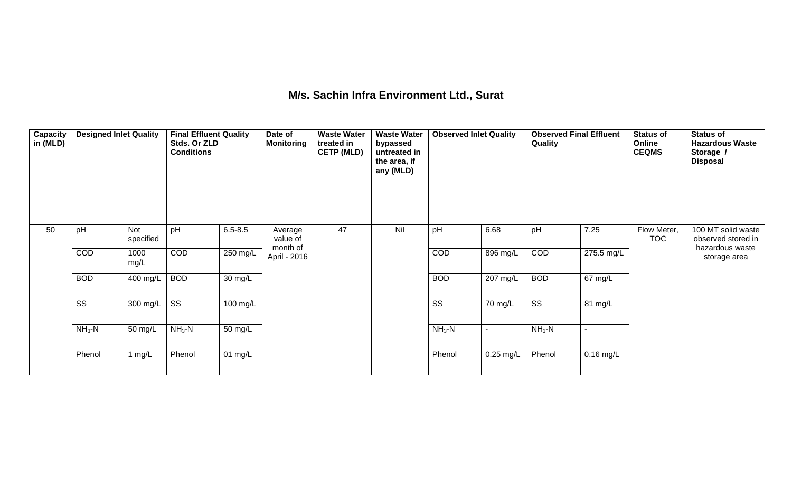## **M/s. Sachin Infra Environment Ltd., Surat**

| Capacity<br>in (MLD) | <b>Designed Inlet Quality</b> |                         | <b>Final Effluent Quality</b><br>Stds. Or ZLD<br><b>Conditions</b> |             | Date of<br><b>Monitoring</b>    | <b>Waste Water</b><br>treated in<br><b>CETP (MLD)</b> | <b>Waste Water</b><br>bypassed<br>untreated in<br>the area, if<br>any (MLD) | <b>Observed Inlet Quality</b> |                    | Quality                | <b>Observed Final Effluent</b> | <b>Status of</b><br>Online<br><b>CEQMS</b> | <b>Status of</b><br><b>Hazardous Waste</b><br>Storage /<br><b>Disposal</b> |
|----------------------|-------------------------------|-------------------------|--------------------------------------------------------------------|-------------|---------------------------------|-------------------------------------------------------|-----------------------------------------------------------------------------|-------------------------------|--------------------|------------------------|--------------------------------|--------------------------------------------|----------------------------------------------------------------------------|
| 50                   | pH                            | <b>Not</b><br>specified | pH                                                                 | $6.5 - 8.5$ | Average<br>value of<br>month of | 47                                                    | Nil                                                                         | pH                            | 6.68               | pH                     | 7.25                           | Flow Meter,<br><b>TOC</b>                  | 100 MT solid waste<br>observed stored in<br>hazardous waste                |
|                      | COD                           | 1000<br>mg/L            | COD                                                                | $250$ mg/L  | April - 2016                    |                                                       |                                                                             | COD                           | 896 mg/L           | COD                    | 275.5 mg/L                     |                                            | storage area                                                               |
|                      | <b>BOD</b>                    | 400 mg/L                | <b>BOD</b>                                                         | 30 mg/L     |                                 |                                                       |                                                                             | <b>BOD</b>                    | $207 \text{ mg/L}$ | <b>BOD</b>             | 67 mg/L                        |                                            |                                                                            |
|                      | SS                            | 300 mg/L                | $\overline{\text{SS}}$                                             | 100 mg/L    |                                 |                                                       |                                                                             | $\overline{\text{SS}}$        | 70 mg/L            | $\overline{\text{SS}}$ | 81 mg/L                        |                                            |                                                                            |
|                      | $NH3-N$                       | 50 mg/L                 | $NH3-N$                                                            | 50 mg/L     |                                 |                                                       |                                                                             | $NH3-N$                       | $\sim$             | $NH3-N$                | ٠                              |                                            |                                                                            |
|                      | Phenol                        | 1 $mg/L$                | Phenol                                                             | $01$ mg/L   |                                 |                                                       |                                                                             | Phenol                        | $0.25$ mg/L        | Phenol                 | $0.16$ mg/L                    |                                            |                                                                            |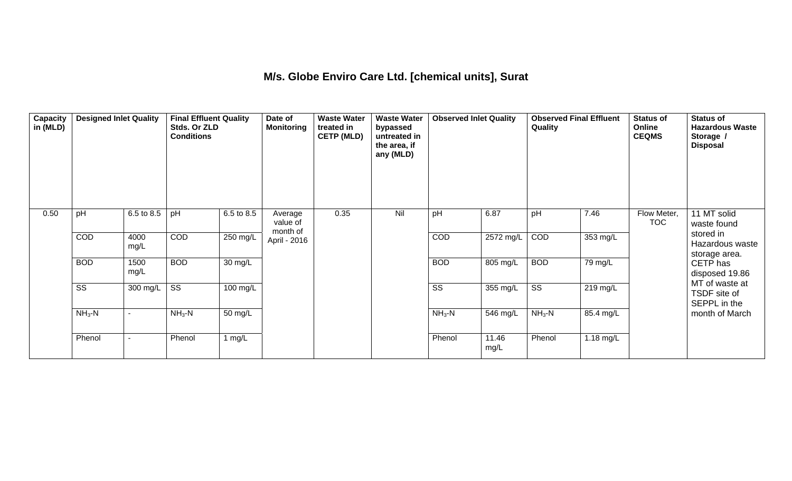## **M/s. Globe Enviro Care Ltd. [chemical units], Surat**

| Capacity<br>in (MLD) | <b>Designed Inlet Quality</b> |                          | <b>Final Effluent Quality</b><br>Stds. Or ZLD<br><b>Conditions</b> |                    | Date of<br><b>Monitoring</b>    | <b>Waste Water</b><br>treated in<br><b>CETP (MLD)</b> | <b>Waste Water</b><br>bypassed<br>untreated in<br>the area, if<br>any (MLD) | <b>Observed Inlet Quality</b> |                        | <b>Observed Final Effluent</b><br>Quality |           | <b>Status of</b><br>Online<br><b>CEQMS</b> | <b>Status of</b><br><b>Hazardous Waste</b><br>Storage /<br><b>Disposal</b> |
|----------------------|-------------------------------|--------------------------|--------------------------------------------------------------------|--------------------|---------------------------------|-------------------------------------------------------|-----------------------------------------------------------------------------|-------------------------------|------------------------|-------------------------------------------|-----------|--------------------------------------------|----------------------------------------------------------------------------|
| 0.50                 | pH                            | 6.5 to 8.5               | pH                                                                 | 6.5 to 8.5         | Average<br>value of<br>month of | 0.35                                                  | Nil                                                                         | pH                            | 6.87                   | pH                                        | 7.46      | Flow Meter,<br><b>TOC</b>                  | 11 MT solid<br>waste found                                                 |
|                      | COD                           | 4000<br>mg/L             | COD                                                                | 250 mg/L           | April - 2016                    |                                                       |                                                                             | COD                           | $\overline{2572}$ mg/L | COD                                       | 353 mg/L  |                                            | stored in<br>Hazardous waste<br>storage area.                              |
|                      | <b>BOD</b>                    | 1500<br>mg/L             | <b>BOD</b>                                                         | 30 mg/L            |                                 |                                                       |                                                                             | <b>BOD</b>                    | 805 mg/L               | <b>BOD</b>                                | 79 mg/L   |                                            | CETP has<br>disposed 19.86                                                 |
|                      | $\overline{\text{SS}}$        | 300 mg/L                 | $\overline{\text{SS}}$                                             | $100 \text{ mg/L}$ |                                 |                                                       |                                                                             | $\overline{\text{SS}}$        | 355 mg/L               | $\overline{\text{ss}}$                    | 219 mg/L  |                                            | MT of waste at<br>TSDF site of<br>SEPPL in the                             |
|                      | $NH3-N$                       |                          | $NH3 - N$                                                          | 50 mg/L            |                                 |                                                       |                                                                             | $NH3-N$                       | 546 mg/L               | $NH3$ -N                                  | 85.4 mg/L |                                            | month of March                                                             |
|                      | Phenol                        | $\overline{\phantom{a}}$ | Phenol                                                             | 1 $mg/L$           |                                 |                                                       |                                                                             | Phenol                        | 11.46<br>mg/L          | Phenol                                    | 1.18 mg/L |                                            |                                                                            |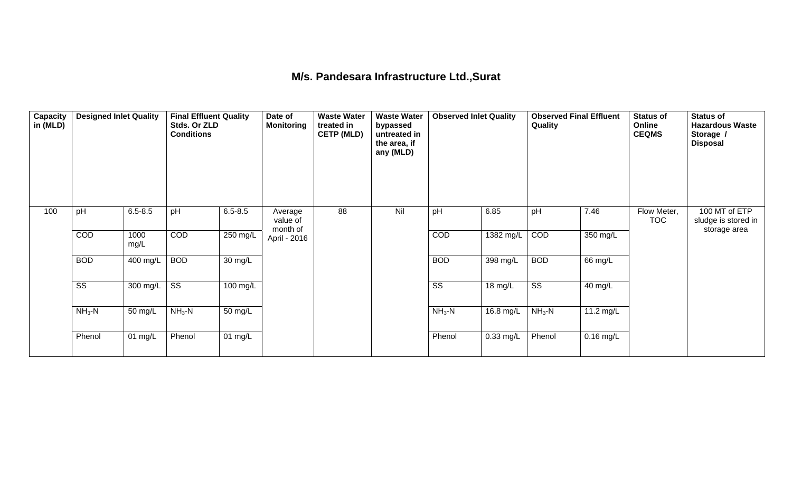## **M/s. Pandesara Infrastructure Ltd.,Surat**

| <b>Capacity</b><br>in (MLD) | <b>Designed Inlet Quality</b> |              | <b>Final Effluent Quality</b><br>Stds. Or ZLD<br><b>Conditions</b> |             | Date of<br><b>Monitoring</b>    | <b>Waste Water</b><br>treated in<br><b>CETP (MLD)</b> | <b>Waste Water</b><br>bypassed<br>untreated in<br>the area, if<br>any (MLD) | <b>Observed Inlet Quality</b> |             | Quality                | <b>Observed Final Effluent</b> | <b>Status of</b><br>Online<br><b>CEQMS</b> | <b>Status of</b><br><b>Hazardous Waste</b><br>Storage /<br><b>Disposal</b> |
|-----------------------------|-------------------------------|--------------|--------------------------------------------------------------------|-------------|---------------------------------|-------------------------------------------------------|-----------------------------------------------------------------------------|-------------------------------|-------------|------------------------|--------------------------------|--------------------------------------------|----------------------------------------------------------------------------|
| 100                         | pH                            | $6.5 - 8.5$  | pH                                                                 | $6.5 - 8.5$ | Average<br>value of<br>month of | 88                                                    | Nil                                                                         | pH                            | 6.85        | pH                     | 7.46                           | Flow Meter,<br><b>TOC</b>                  | 100 MT of ETP<br>sludge is stored in<br>storage area                       |
|                             | COD                           | 1000<br>mg/L | COD                                                                | 250 mg/L    | April - 2016                    |                                                       |                                                                             | COD                           | 1382 mg/L   | COD                    | 350 mg/L                       |                                            |                                                                            |
|                             | <b>BOD</b>                    | 400 mg/L     | <b>BOD</b>                                                         | 30 mg/L     |                                 |                                                       |                                                                             | <b>BOD</b>                    | 398 mg/L    | <b>BOD</b>             | 66 mg/L                        |                                            |                                                                            |
|                             | SS                            | 300 mg/L     | SS                                                                 | 100 mg/L    |                                 |                                                       |                                                                             | SS                            | 18 mg/L     | $\overline{\text{ss}}$ | 40 mg/L                        |                                            |                                                                            |
|                             | $NH3-N$                       | 50 mg/L      | $NH3-N$                                                            | 50 mg/L     |                                 |                                                       |                                                                             | $NH3-N$                       | 16.8 mg/L   | $NH3$ -N               | 11.2 mg/L                      |                                            |                                                                            |
|                             | Phenol                        | 01 mg/L      | Phenol                                                             | 01 $mg/L$   |                                 |                                                       |                                                                             | Phenol                        | $0.33$ mg/L | Phenol                 | $0.16$ mg/L                    |                                            |                                                                            |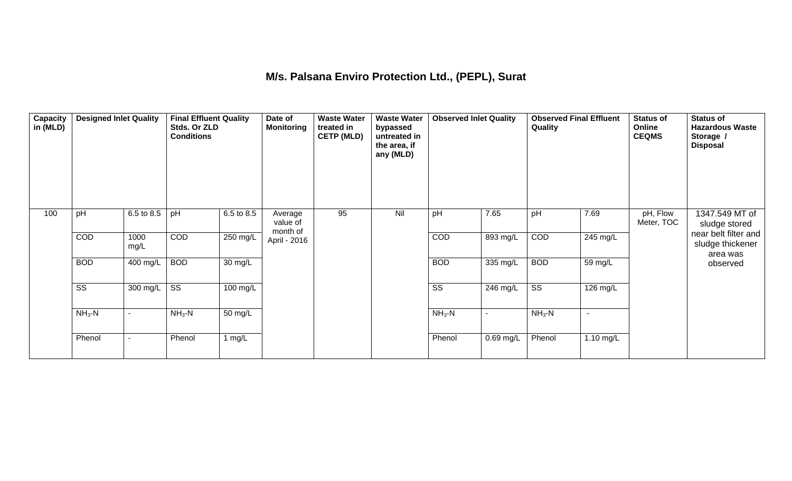## **M/s. Palsana Enviro Protection Ltd., (PEPL), Surat**

| Capacity<br>in (MLD) | <b>Designed Inlet Quality</b> |                | <b>Final Effluent Quality</b><br>Stds. Or ZLD<br><b>Conditions</b> |                      | Date of<br><b>Monitoring</b>    | <b>Waste Water</b><br>treated in<br><b>CETP (MLD)</b> | <b>Waste Water</b><br>bypassed<br>untreated in<br>the area, if<br>any (MLD) | <b>Observed Inlet Quality</b> |           | <b>Observed Final Effluent</b><br>Quality |                          | <b>Status of</b><br>Online<br><b>CEQMS</b> | <b>Status of</b><br><b>Hazardous Waste</b><br>Storage /<br><b>Disposal</b> |
|----------------------|-------------------------------|----------------|--------------------------------------------------------------------|----------------------|---------------------------------|-------------------------------------------------------|-----------------------------------------------------------------------------|-------------------------------|-----------|-------------------------------------------|--------------------------|--------------------------------------------|----------------------------------------------------------------------------|
| 100                  | pH                            | 6.5 to 8.5     | pH                                                                 | 6.5 to 8.5           | Average<br>value of<br>month of | 95                                                    | Nil                                                                         | pH                            | 7.65      | pH                                        | 7.69                     | pH, Flow<br>Meter, TOC                     | 1347.549 MT of<br>sludge stored                                            |
|                      | COD                           | 1000<br>mg/L   | COD                                                                | $250$ mg/L           | April - 2016                    |                                                       |                                                                             | COD                           | 893 mg/L  | COD                                       | 245 mg/L                 |                                            | near belt filter and<br>sludge thickener<br>area was                       |
|                      | <b>BOD</b>                    | 400 mg/L       | <b>BOD</b>                                                         | $\overline{30}$ mg/L |                                 |                                                       |                                                                             | <b>BOD</b>                    | 335 mg/L  | <b>BOD</b>                                | 59 mg/L                  |                                            | observed                                                                   |
|                      | $\overline{\text{ss}}$        | 300 mg/L       | $\overline{\text{SS}}$                                             | $100 \text{ mg/L}$   |                                 |                                                       |                                                                             | $\overline{\text{ss}}$        | 246 mg/L  | $\overline{\text{ss}}$                    | 126 mg/L                 |                                            |                                                                            |
|                      | $NH3-N$                       | $\blacksquare$ | $NH3-N$                                                            | 50 mg/L              |                                 |                                                       |                                                                             | $NH3-N$                       | $\sim$    | $NH3-N$                                   | $\overline{\phantom{a}}$ |                                            |                                                                            |
|                      | Phenol                        | $\blacksquare$ | Phenol                                                             | 1 $mg/L$             |                                 |                                                       |                                                                             | Phenol                        | 0.69 mg/L | Phenol                                    | 1.10 mg/L                |                                            |                                                                            |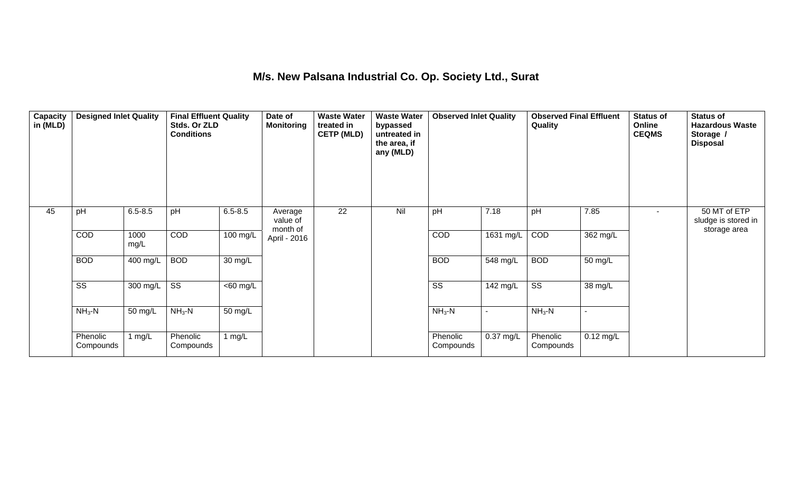## **M/s. New Palsana Industrial Co. Op. Society Ltd., Surat**

| Capacity<br>in (MLD) | <b>Designed Inlet Quality</b> |                  | <b>Final Effluent Quality</b><br>Stds. Or ZLD<br><b>Conditions</b> |                      | Date of<br><b>Monitoring</b>    | <b>Waste Water</b><br>treated in<br><b>CETP (MLD)</b> | <b>Waste Water</b><br>bypassed<br>untreated in<br>the area, if<br>any (MLD) | <b>Observed Inlet Quality</b> |                        | <b>Observed Final Effluent</b><br>Quality |             | <b>Status of</b><br>Online<br><b>CEQMS</b> | <b>Status of</b><br><b>Hazardous Waste</b><br>Storage /<br><b>Disposal</b> |
|----------------------|-------------------------------|------------------|--------------------------------------------------------------------|----------------------|---------------------------------|-------------------------------------------------------|-----------------------------------------------------------------------------|-------------------------------|------------------------|-------------------------------------------|-------------|--------------------------------------------|----------------------------------------------------------------------------|
| 45                   | pH                            | $6.5 - 8.5$      | pH                                                                 | $6.5 - 8.5$          | Average<br>value of<br>month of | 22                                                    | Nil                                                                         | pH                            | 7.18                   | pH                                        | 7.85        | $\blacksquare$                             | 50 MT of ETP<br>sludge is stored in<br>storage area                        |
|                      | <b>COD</b>                    | 1000<br>mg/L     | COD                                                                | 100 mg/L             | April - 2016                    |                                                       |                                                                             | COD                           | 1631 mg/L              | COD                                       | 362 mg/L    |                                            |                                                                            |
|                      | <b>BOD</b>                    | 400 mg/L         | <b>BOD</b>                                                         | $\overline{30}$ mg/L |                                 |                                                       |                                                                             | <b>BOD</b>                    | 548 mg/L               | <b>BOD</b>                                | 50 mg/L     |                                            |                                                                            |
|                      | $\overline{\text{SS}}$        | 300 mg/L $\vert$ | $\overline{\text{SS}}$                                             | $\overline{60}$ mg/L |                                 |                                                       |                                                                             | $\overline{\text{SS}}$        | $\overline{14}$ 2 mg/L | $\overline{\text{SS}}$                    | 38 mg/L     |                                            |                                                                            |
|                      | $NH3-N$                       | 50 mg/L          | $NH3-N$                                                            | 50 mg/L              |                                 |                                                       |                                                                             | $NH3-N$                       |                        | $NH3-N$                                   |             |                                            |                                                                            |
|                      | Phenolic<br>Compounds         | 1 $mg/L$         | Phenolic<br>Compounds                                              | 1 $mg/L$             |                                 |                                                       |                                                                             | Phenolic<br>Compounds         | $0.37$ mg/L            | Phenolic<br>Compounds                     | $0.12$ mg/L |                                            |                                                                            |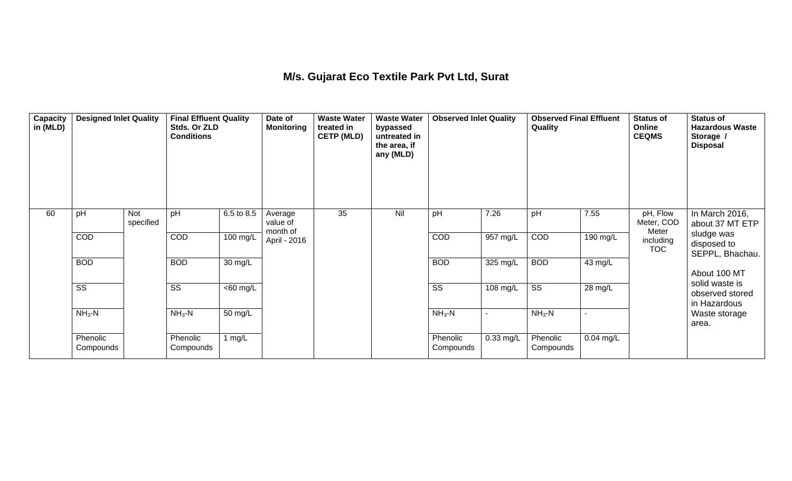## **M/s. Gujarat Eco Textile Park Pvt Ltd, Surat**

| Capacity<br>in (MLD) | <b>Designed Inlet Quality</b> |                         | <b>Final Effluent Quality</b><br>Stds. Or ZLD<br><b>Conditions</b> |                   | Date of<br><b>Monitoring</b>    | <b>Waste Water</b><br>treated in<br><b>CETP (MLD)</b> | <b>Waste Water</b><br>bypassed<br>untreated in<br>the area, if<br>any (MLD) | <b>Observed Inlet Quality</b> |                       | <b>Observed Final Effluent</b><br>Quality |             | <b>Status of</b><br>Online<br><b>CEQMS</b> | <b>Status of</b><br><b>Hazardous Waste</b><br>Storage /<br><b>Disposal</b> |
|----------------------|-------------------------------|-------------------------|--------------------------------------------------------------------|-------------------|---------------------------------|-------------------------------------------------------|-----------------------------------------------------------------------------|-------------------------------|-----------------------|-------------------------------------------|-------------|--------------------------------------------|----------------------------------------------------------------------------|
| 60                   | pH                            | <b>Not</b><br>specified | pH                                                                 | 6.5 to 8.5        | Average<br>value of<br>month of | 35                                                    | Nil                                                                         | pH                            | 7.26                  | pH                                        | 7.55        | pH, Flow<br>Meter, COD<br>Meter            | In March 2016,<br>about 37 MT ETP                                          |
|                      | <b>COD</b>                    |                         | COD                                                                | 100 mg/L          | April - 2016                    |                                                       |                                                                             | COD                           | $957 \text{ mg/L}$    | COD                                       | 190 mg/L    | including<br><b>TOC</b>                    | sludge was<br>disposed to<br>SEPPL, Bhachau.                               |
|                      | <b>BOD</b>                    |                         | <b>BOD</b>                                                         | $30 \text{ mg/L}$ |                                 |                                                       |                                                                             | <b>BOD</b>                    | $\overline{325}$ mg/L | <b>BOD</b>                                | 43 mg/L     |                                            | About 100 MT                                                               |
|                      | $\overline{\text{SS}}$        |                         | SS                                                                 | $60$ mg/L         |                                 |                                                       |                                                                             | $\overline{\text{SS}}$        | 108 mg/L              | $\overline{\text{ss}}$                    | 28 mg/L     |                                            | solid waste is<br>observed stored<br>in Hazardous                          |
|                      | $NH3-N$                       |                         | $NH3$ -N                                                           | 50 mg/L           |                                 |                                                       |                                                                             | $NH3-N$                       |                       | $NH3$ -N                                  |             |                                            | Waste storage<br>area.                                                     |
|                      | Phenolic<br>Compounds         |                         | Phenolic<br>Compounds                                              | 1 $mg/L$          |                                 |                                                       |                                                                             | Phenolic<br>Compounds         | $0.33$ mg/L           | Phenolic<br>Compounds                     | $0.04$ mg/L |                                            |                                                                            |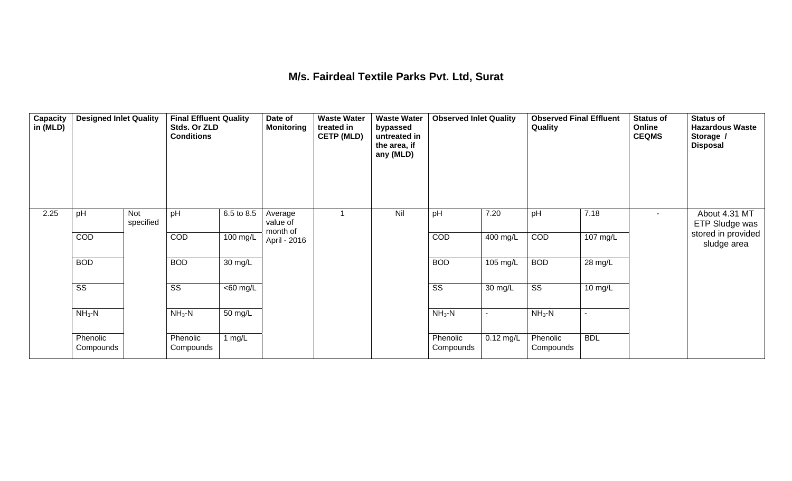#### **M/s. Fairdeal Textile Parks Pvt. Ltd, Surat**

| Capacity<br>in (MLD) | <b>Designed Inlet Quality</b> |                  | <b>Final Effluent Quality</b><br>Stds. Or ZLD<br><b>Conditions</b> |                      | Date of<br><b>Monitoring</b>    | <b>Waste Water</b><br>treated in<br><b>CETP (MLD)</b> | <b>Waste Water</b><br>bypassed<br>untreated in<br>the area, if<br>any (MLD) | <b>Observed Inlet Quality</b> |                | <b>Observed Final Effluent</b><br>Quality |                | <b>Status of</b><br>Online<br><b>CEQMS</b> | <b>Status of</b><br><b>Hazardous Waste</b><br>Storage /<br><b>Disposal</b> |
|----------------------|-------------------------------|------------------|--------------------------------------------------------------------|----------------------|---------------------------------|-------------------------------------------------------|-----------------------------------------------------------------------------|-------------------------------|----------------|-------------------------------------------|----------------|--------------------------------------------|----------------------------------------------------------------------------|
| 2.25                 | pH                            | Not<br>specified | pH                                                                 | 6.5 to 8.5           | Average<br>value of<br>month of |                                                       | Nil                                                                         | pH                            | 7.20           | pH                                        | 7.18           | $\sim$                                     | About 4.31 MT<br>ETP Sludge was                                            |
|                      | COD                           |                  | COD                                                                | 100 mg/L             | April - 2016                    |                                                       |                                                                             | COD                           | 400 mg/L       | COD                                       | 107 mg/L       |                                            | stored in provided<br>sludge area                                          |
|                      | <b>BOD</b>                    |                  | <b>BOD</b>                                                         | $\overline{30}$ mg/L |                                 |                                                       |                                                                             | <b>BOD</b>                    | 105 mg/L       | <b>BOD</b>                                | 28 mg/L        |                                            |                                                                            |
|                      | $\overline{\text{ss}}$        |                  | $\overline{\text{SS}}$                                             | $<$ 60 mg/L          |                                 |                                                       |                                                                             | $\overline{\text{ss}}$        | 30 mg/L        | $\overline{\text{ss}}$                    | 10 mg/L        |                                            |                                                                            |
|                      | $NH3-N$                       |                  | $NH3-N$                                                            | 50 mg/L              |                                 |                                                       |                                                                             | $NH3-N$                       | $\blacksquare$ | $NH3-N$                                   | $\blacksquare$ |                                            |                                                                            |
|                      | Phenolic<br>Compounds         |                  | Phenolic<br>Compounds                                              | 1 $mg/L$             |                                 |                                                       |                                                                             | Phenolic<br>Compounds         | $0.12$ mg/L    | Phenolic<br>Compounds                     | <b>BDL</b>     |                                            |                                                                            |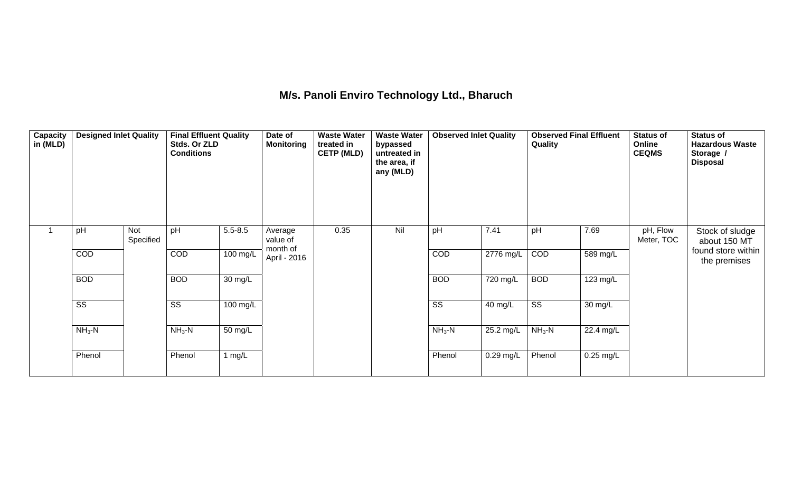# **M/s. Panoli Enviro Technology Ltd., Bharuch**

| Capacity<br>in (MLD) | <b>Designed Inlet Quality</b> |                  | <b>Final Effluent Quality</b><br>Stds. Or ZLD<br><b>Conditions</b> |                       | Date of<br><b>Monitoring</b>    | <b>Waste Water</b><br>treated in<br><b>CETP (MLD)</b> | <b>Waste Water</b><br>bypassed<br>untreated in<br>the area, if<br>any (MLD) | <b>Observed Inlet Quality</b> |             | <b>Observed Final Effluent</b><br>Quality |                        | <b>Status of</b><br>Online<br><b>CEQMS</b> | <b>Status of</b><br><b>Hazardous Waste</b><br>Storage /<br><b>Disposal</b> |
|----------------------|-------------------------------|------------------|--------------------------------------------------------------------|-----------------------|---------------------------------|-------------------------------------------------------|-----------------------------------------------------------------------------|-------------------------------|-------------|-------------------------------------------|------------------------|--------------------------------------------|----------------------------------------------------------------------------|
| $\overline{1}$       | pH                            | Not<br>Specified | pH                                                                 | $5.5 - 8.5$           | Average<br>value of<br>month of | 0.35                                                  | Nil                                                                         | pH                            | 7.41        | pH                                        | 7.69                   | pH, Flow<br>Meter, TOC                     | Stock of sludge<br>about 150 MT                                            |
|                      | COD                           |                  | COD                                                                | $\overline{100}$ mg/L | April - 2016                    |                                                       |                                                                             | COD                           | $2776$ mg/L | COD                                       | 589 mg/L               |                                            | found store within<br>the premises                                         |
|                      | <b>BOD</b>                    |                  | <b>BOD</b>                                                         | 30 mg/L               |                                 |                                                       |                                                                             | <b>BOD</b>                    | 720 mg/L    | <b>BOD</b>                                | 123 mg/L               |                                            |                                                                            |
|                      | $\overline{\text{ss}}$        |                  | $\overline{\text{SS}}$                                             | 100 mg/L              |                                 |                                                       |                                                                             | $\overline{\text{ss}}$        | 40 mg/L     | $\overline{\text{ss}}$                    | 30 mg/L                |                                            |                                                                            |
|                      | $NH3-N$                       |                  | $NH3 - N$                                                          | $\overline{50}$ mg/L  |                                 |                                                       |                                                                             | $NH3-N$                       | 25.2 mg/L   | $NH3-N$                                   | $\overline{22.4}$ mg/L |                                            |                                                                            |
|                      | Phenol                        |                  | Phenol                                                             | 1 mg/L                |                                 |                                                       |                                                                             | Phenol                        | $0.29$ mg/L | Phenol                                    | $0.25$ mg/L            |                                            |                                                                            |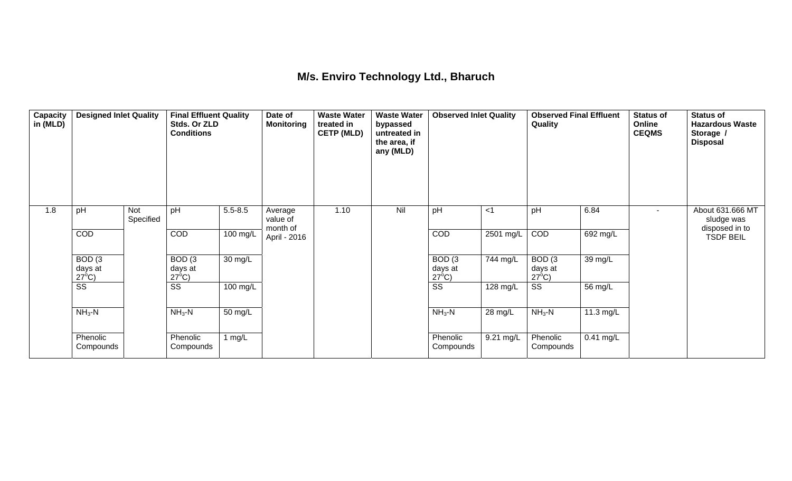## **M/s. Enviro Technology Ltd., Bharuch**

| Capacity<br>in (MLD) | <b>Designed Inlet Quality</b>        |                  | <b>Final Effluent Quality</b><br>Stds. Or ZLD<br><b>Conditions</b> |                   | Date of<br><b>Monitoring</b>    | <b>Waste Water</b><br>treated in<br><b>CETP (MLD)</b> | <b>Waste Water</b><br>bypassed<br>untreated in<br>the area, if<br>any (MLD) | <b>Observed Inlet Quality</b> |           | <b>Observed Final Effluent</b><br>Quality |             | <b>Status of</b><br>Online<br><b>CEQMS</b> | <b>Status of</b><br><b>Hazardous Waste</b><br>Storage /<br><b>Disposal</b> |
|----------------------|--------------------------------------|------------------|--------------------------------------------------------------------|-------------------|---------------------------------|-------------------------------------------------------|-----------------------------------------------------------------------------|-------------------------------|-----------|-------------------------------------------|-------------|--------------------------------------------|----------------------------------------------------------------------------|
| 1.8                  | pH                                   | Not<br>Specified | pH                                                                 | $5.5 - 8.5$       | Average<br>value of<br>month of | 1.10                                                  | Nil                                                                         | pH                            | <1        | pH                                        | 6.84        | $\blacksquare$                             | About 631.666 MT<br>sludge was<br>disposed in to                           |
|                      | COD                                  |                  | COD                                                                | 100 mg/L          | April - 2016                    |                                                       |                                                                             | COD                           | 2501 mg/L | COD                                       | 692 mg/L    |                                            | <b>TSDF BEIL</b>                                                           |
|                      | BOD(3)<br>days at<br>$27^{\circ}$ C) |                  | BOD(3)<br>days at<br>$27^{\circ}$ C)                               | $30 \text{ mg/L}$ |                                 |                                                       |                                                                             | BOD(3)<br>days at             | 744 mg/L  | BOD(3)<br>days at<br>$27^{\circ}$ C)      | 39 mg/L     |                                            |                                                                            |
|                      | $\overline{\text{SS}}$               |                  | $\overline{\text{ss}}$                                             | 100 mg/L          |                                 |                                                       |                                                                             | $\frac{27^6C}{SS}$            | 128 mg/L  | $\overline{\text{ss}}$                    | 56 mg/L     |                                            |                                                                            |
|                      | $NH3$ -N                             |                  | $NH3-N$                                                            | 50 mg/L           |                                 |                                                       |                                                                             | $NH3-N$                       | 28 mg/L   | $NH3-N$                                   | 11.3 mg/L   |                                            |                                                                            |
|                      | Phenolic<br>Compounds                |                  | Phenolic<br>Compounds                                              | 1 mg/L            |                                 |                                                       |                                                                             | Phenolic<br>Compounds         | 9.21 mg/L | Phenolic<br>Compounds                     | $0.41$ mg/L |                                            |                                                                            |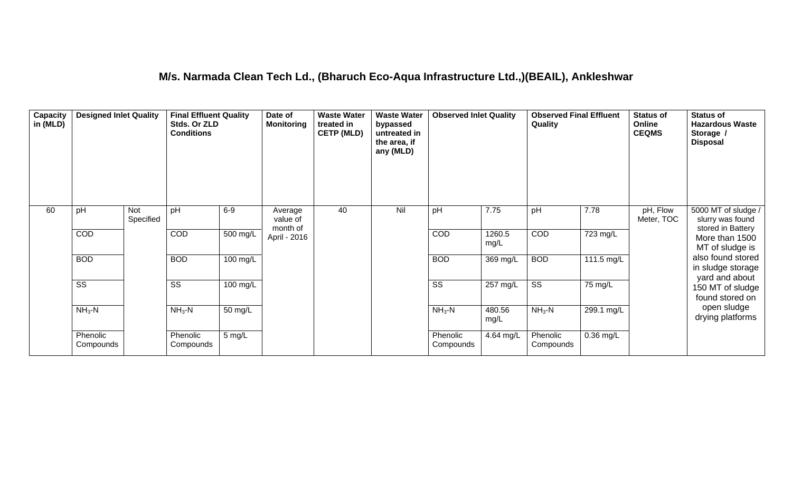#### **M/s. Narmada Clean Tech Ld., (Bharuch Eco-Aqua Infrastructure Ltd.,)(BEAIL), Ankleshwar**

| Capacity<br>in (MLD) | <b>Designed Inlet Quality</b> |                  | <b>Final Effluent Quality</b><br>Stds. Or ZLD<br><b>Conditions</b> |            | Date of<br><b>Monitoring</b>    | <b>Waste Water</b><br>treated in<br><b>CETP (MLD)</b> | <b>Waste Water</b><br>bypassed<br>untreated in<br>the area, if<br>any (MLD) | <b>Observed Inlet Quality</b> |                | <b>Observed Final Effluent</b><br>Quality |                       | <b>Status of</b><br>Online<br><b>CEQMS</b> | <b>Status of</b><br><b>Hazardous Waste</b><br>Storage /<br><b>Disposal</b> |
|----------------------|-------------------------------|------------------|--------------------------------------------------------------------|------------|---------------------------------|-------------------------------------------------------|-----------------------------------------------------------------------------|-------------------------------|----------------|-------------------------------------------|-----------------------|--------------------------------------------|----------------------------------------------------------------------------|
| 60                   | pH                            | Not<br>Specified | pH                                                                 | $6-9$      | Average<br>value of<br>month of | 40                                                    | Nil                                                                         | pH                            | 7.75           | pH                                        | 7.78                  | pH, Flow<br>Meter, TOC                     | 5000 MT of sludge /<br>slurry was found<br>stored in Battery               |
|                      | <b>COD</b>                    |                  | COD                                                                | $500$ mg/L | April - 2016                    |                                                       |                                                                             | COD                           | 1260.5<br>mg/L | COD                                       | $\overline{72}3$ mg/L |                                            | More than 1500<br>MT of sludge is                                          |
|                      | <b>BOD</b>                    |                  | <b>BOD</b>                                                         | 100 mg/L   |                                 |                                                       |                                                                             | <b>BOD</b>                    | 369 mg/L       | <b>BOD</b>                                | 111.5 mg/L            |                                            | also found stored<br>in sludge storage                                     |
|                      | $\overline{\text{ss}}$        |                  | $\overline{\text{SS}}$                                             | 100 mg/L   |                                 |                                                       |                                                                             | $\overline{\text{ss}}$        | 257 mg/L       | $\overline{\text{ss}}$                    | 75 mg/L               |                                            | yard and about<br>150 MT of sludge<br>found stored on                      |
|                      | $NH3-N$                       |                  | $NH3-N$                                                            | 50 mg/L    |                                 |                                                       |                                                                             | $NH3-N$                       | 480.56<br>mg/L | $NH3-N$                                   | $299.1$ mg/L          |                                            | open sludge<br>drying platforms                                            |
|                      | Phenolic<br>Compounds         |                  | Phenolic<br>Compounds                                              | 5 mg/L     |                                 |                                                       |                                                                             | Phenolic<br>Compounds         | 4.64 mg/L      | Phenolic<br>Compounds                     | $0.36$ mg/L           |                                            |                                                                            |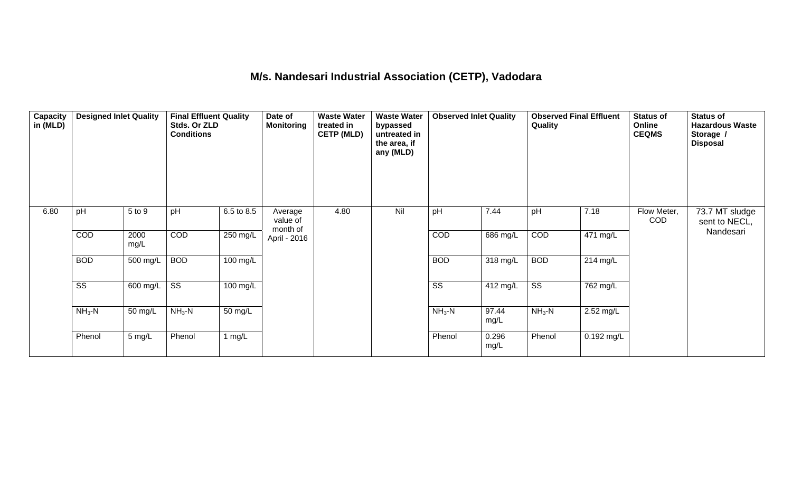## **M/s. Nandesari Industrial Association (CETP), Vadodara**

| <b>Capacity</b><br>in (MLD) | <b>Designed Inlet Quality</b> |              | <b>Final Effluent Quality</b><br>Stds. Or ZLD<br><b>Conditions</b> |            | Date of<br><b>Monitoring</b>    | <b>Waste Water</b><br>treated in<br><b>CETP (MLD)</b> | <b>Waste Water</b><br>bypassed<br>untreated in<br>the area, if<br>any (MLD) | <b>Observed Inlet Quality</b> |               | <b>Observed Final Effluent</b><br>Quality |                       | Status of<br>Online<br><b>CEQMS</b> | <b>Status of</b><br><b>Hazardous Waste</b><br>Storage /<br><b>Disposal</b> |
|-----------------------------|-------------------------------|--------------|--------------------------------------------------------------------|------------|---------------------------------|-------------------------------------------------------|-----------------------------------------------------------------------------|-------------------------------|---------------|-------------------------------------------|-----------------------|-------------------------------------|----------------------------------------------------------------------------|
| 6.80                        | pH                            | 5 to 9       | pH                                                                 | 6.5 to 8.5 | Average<br>value of<br>month of | 4.80                                                  | Nil                                                                         | pH                            | 7.44          | pH                                        | 7.18                  | Flow Meter,<br><b>COD</b>           | 73.7 MT sludge<br>sent to NECL,                                            |
|                             | COD                           | 2000<br>mg/L | COD                                                                | $250$ mg/L | April - 2016                    |                                                       |                                                                             | COD                           | 686 mg/L      | COD                                       | $\overline{471}$ mg/L |                                     | Nandesari                                                                  |
|                             | <b>BOD</b>                    | 500 mg/L     | <b>BOD</b>                                                         | 100 mg/L   |                                 |                                                       |                                                                             | <b>BOD</b>                    | 318 mg/L      | <b>BOD</b>                                | $214$ mg/L            |                                     |                                                                            |
|                             | $\overline{\text{ss}}$        | 600 mg/L     | $\overline{\text{SS}}$                                             | 100 mg/L   |                                 |                                                       |                                                                             | $\overline{\text{ss}}$        | 412 mg/L      | $\overline{\text{ss}}$                    | 762 mg/L              |                                     |                                                                            |
|                             | $NH3-N$                       | 50 mg/L      | $NH3 - N$                                                          | 50 mg/L    |                                 |                                                       |                                                                             | $NH3-N$                       | 97.44<br>mg/L | $NH3-N$                                   | $2.52 \text{ mg/L}$   |                                     |                                                                            |
|                             | Phenol                        | $5$ mg/L     | Phenol                                                             | 1 mg/ $L$  |                                 |                                                       |                                                                             | Phenol                        | 0.296<br>mg/L | Phenol                                    | 0.192 mg/L            |                                     |                                                                            |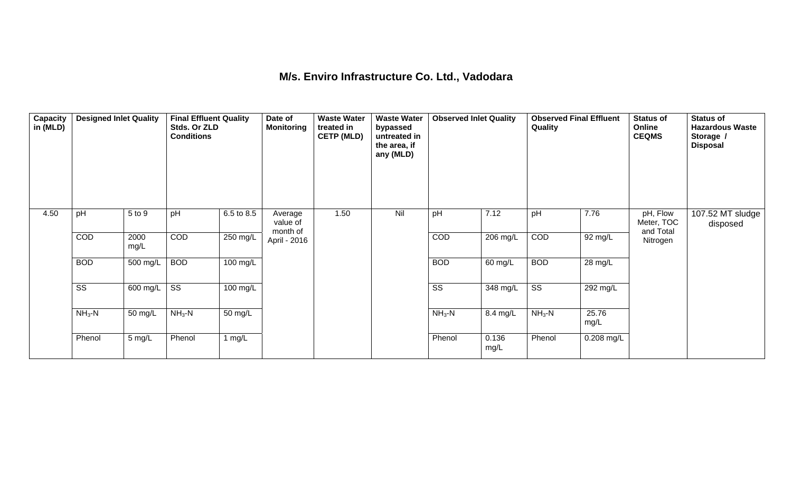#### **M/s. Enviro Infrastructure Co. Ltd., Vadodara**

| Capacity<br>in (MLD) | <b>Designed Inlet Quality</b> |              | <b>Final Effluent Quality</b><br>Stds. Or ZLD<br><b>Conditions</b> |            | Date of<br><b>Monitoring</b>    | <b>Waste Water</b><br>treated in<br><b>CETP (MLD)</b> | <b>Waste Water</b><br>bypassed<br>untreated in<br>the area, if<br>any (MLD) | <b>Observed Inlet Quality</b> |               | Quality                | <b>Observed Final Effluent</b> | <b>Status of</b><br>Online<br><b>CEQMS</b> | <b>Status of</b><br><b>Hazardous Waste</b><br>Storage /<br><b>Disposal</b> |
|----------------------|-------------------------------|--------------|--------------------------------------------------------------------|------------|---------------------------------|-------------------------------------------------------|-----------------------------------------------------------------------------|-------------------------------|---------------|------------------------|--------------------------------|--------------------------------------------|----------------------------------------------------------------------------|
| 4.50                 | pH                            | 5 to 9       | pH                                                                 | 6.5 to 8.5 | Average<br>value of<br>month of | 1.50                                                  | Nil                                                                         | pH                            | 7.12          | pH                     | 7.76                           | pH, Flow<br>Meter, TOC<br>and Total        | 107.52 MT sludge<br>disposed                                               |
|                      | COD                           | 2000<br>mg/L | COD                                                                | 250 mg/L   | April - 2016                    |                                                       |                                                                             | COD                           | $206$ mg/L    | COD                    | $\overline{92}$ mg/L           | Nitrogen                                   |                                                                            |
|                      | <b>BOD</b>                    | 500 mg/L     | <b>BOD</b>                                                         | 100 mg/L   |                                 |                                                       |                                                                             | <b>BOD</b>                    | 60 mg/L       | <b>BOD</b>             | 28 mg/L                        |                                            |                                                                            |
|                      | $\overline{\text{SS}}$        | 600 mg/L     | $\overline{\text{SS}}$                                             | 100 mg/L   |                                 |                                                       |                                                                             | $\overline{\text{SS}}$        | 348 mg/L      | $\overline{\text{ss}}$ | 292 mg/L                       |                                            |                                                                            |
|                      | $NH3-N$                       | 50 mg/L      | $NH3-N$                                                            | 50 mg/L    |                                 |                                                       |                                                                             | $NH3-N$                       | 8.4 mg/L      | $NH3-N$                | 25.76<br>mg/L                  |                                            |                                                                            |
|                      | Phenol                        | 5 mg/L       | Phenol                                                             | 1 $mg/L$   |                                 |                                                       |                                                                             | Phenol                        | 0.136<br>mg/L | Phenol                 | 0.208 mg/L                     |                                            |                                                                            |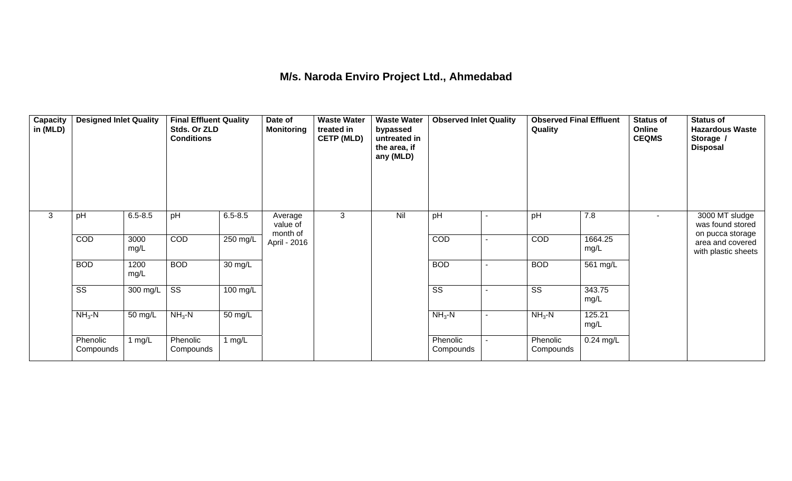# **M/s. Naroda Enviro Project Ltd., Ahmedabad**

| Capacity<br>in (MLD) | <b>Designed Inlet Quality</b> |              | <b>Final Effluent Quality</b><br>Stds. Or ZLD<br><b>Conditions</b> |             | Date of<br><b>Monitoring</b>    | <b>Waste Water</b><br>treated in<br><b>CETP (MLD)</b> | <b>Waste Water</b><br>bypassed<br>untreated in<br>the area, if<br>any (MLD) | <b>Observed Inlet Quality</b> |        | <b>Observed Final Effluent</b><br>Quality |                 | <b>Status of</b><br>Online<br><b>CEQMS</b> | <b>Status of</b><br><b>Hazardous Waste</b><br>Storage /<br><b>Disposal</b> |
|----------------------|-------------------------------|--------------|--------------------------------------------------------------------|-------------|---------------------------------|-------------------------------------------------------|-----------------------------------------------------------------------------|-------------------------------|--------|-------------------------------------------|-----------------|--------------------------------------------|----------------------------------------------------------------------------|
| 3                    | pH                            | $6.5 - 8.5$  | pH                                                                 | $6.5 - 8.5$ | Average<br>value of<br>month of | 3                                                     | Nil                                                                         | pH                            |        | pH                                        | 7.8             | $\blacksquare$                             | 3000 MT sludge<br>was found stored<br>on pucca storage                     |
|                      | COD                           | 3000<br>mg/L | COD                                                                | 250 mg/L    | April - 2016                    |                                                       |                                                                             | COD                           |        | COD                                       | 1664.25<br>mg/L |                                            | area and covered<br>with plastic sheets                                    |
|                      | <b>BOD</b>                    | 1200<br>mg/L | <b>BOD</b>                                                         | 30 mg/L     |                                 |                                                       |                                                                             | <b>BOD</b>                    |        | <b>BOD</b>                                | 561 mg/L        |                                            |                                                                            |
|                      | $\overline{\text{ss}}$        | 300 mg/L     | $\overline{\text{ss}}$                                             | 100 mg/L    |                                 |                                                       |                                                                             | $\overline{\text{ss}}$        |        | $\overline{\text{ss}}$                    | 343.75<br>mg/L  |                                            |                                                                            |
|                      | $NH3-N$                       | 50 mg/L      | $NH3-N$                                                            | 50 mg/L     |                                 |                                                       |                                                                             | $NH3$ -N                      | $\sim$ | $NH3-N$                                   | 125.21<br>mg/L  |                                            |                                                                            |
|                      | Phenolic<br>Compounds         | 1 mg/L       | Phenolic<br>Compounds                                              | 1 $mg/L$    |                                 |                                                       |                                                                             | Phenolic<br>Compounds         |        | Phenolic<br>Compounds                     | $0.24$ mg/L     |                                            |                                                                            |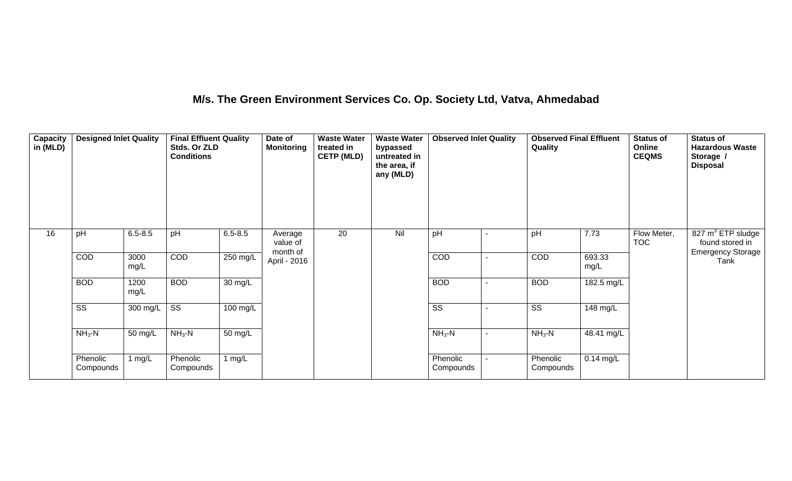## **M/s. The Green Environment Services Co. Op. Society Ltd, Vatva, Ahmedabad**

| Capacity<br>in (MLD) | <b>Designed Inlet Quality</b> |              | <b>Final Effluent Quality</b><br>Stds. Or ZLD<br><b>Conditions</b> |                      | Date of<br><b>Monitoring</b>    | <b>Waste Water</b><br>treated in<br><b>CETP (MLD)</b> | <b>Waste Water</b><br>bypassed<br>untreated in<br>the area, if<br>any (MLD) | <b>Observed Inlet Quality</b> | <b>Observed Final Effluent</b><br>Quality |                | <b>Status of</b><br>Online<br><b>CEQMS</b> | <b>Status of</b><br><b>Hazardous Waste</b><br>Storage /<br><b>Disposal</b>   |
|----------------------|-------------------------------|--------------|--------------------------------------------------------------------|----------------------|---------------------------------|-------------------------------------------------------|-----------------------------------------------------------------------------|-------------------------------|-------------------------------------------|----------------|--------------------------------------------|------------------------------------------------------------------------------|
| 16                   | pH                            | $6.5 - 8.5$  | pH                                                                 | $6.5 - 8.5$          | Average<br>value of<br>month of | 20                                                    | Nil                                                                         | pH                            | pH                                        | 7.73           | Flow Meter,<br><b>TOC</b>                  | 827 m <sup>3</sup> ETP sludge<br>found stored in<br><b>Emergency Storage</b> |
|                      | COD                           | 3000<br>mg/L | COD                                                                | 250 mg/L             | April - 2016                    |                                                       |                                                                             | COD                           | COD                                       | 693.33<br>mg/L |                                            | Tank                                                                         |
|                      | <b>BOD</b>                    | 1200<br>mg/L | <b>BOD</b>                                                         | $\overline{30}$ mg/L |                                 |                                                       |                                                                             | <b>BOD</b>                    | <b>BOD</b>                                | 182.5 mg/L     |                                            |                                                                              |
|                      | $\overline{\text{SS}}$        | 300 mg/L     | $\overline{\text{ss}}$                                             | 100 mg/L             |                                 |                                                       |                                                                             | $\overline{\text{SS}}$        | $\overline{\text{ss}}$                    | 148 mg/L       |                                            |                                                                              |
|                      | $NH3-N$                       | 50 mg/L      | $NH3-N$                                                            | 50 mg/L              |                                 |                                                       |                                                                             | $NH3-N$                       | $NH3-N$                                   | 48.41 mg/L     |                                            |                                                                              |
|                      | Phenolic<br>Compounds         | 1 $mg/L$     | Phenolic<br>Compounds                                              | 1 $mg/L$             |                                 |                                                       |                                                                             | Phenolic<br>Compounds         | Phenolic<br>Compounds                     | $0.14$ mg/L    |                                            |                                                                              |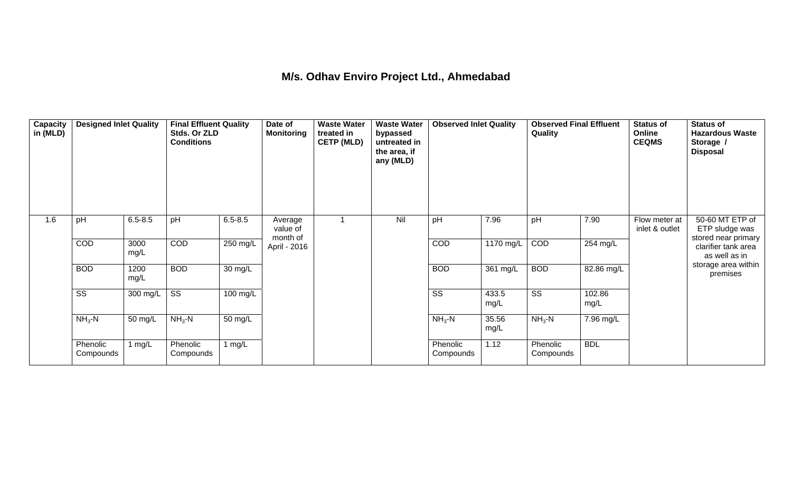## **M/s. Odhav Enviro Project Ltd., Ahmedabad**

| Capacity<br>in (MLD) | <b>Designed Inlet Quality</b> |              | <b>Final Effluent Quality</b><br>Stds. Or ZLD<br><b>Conditions</b> |             | Date of<br><b>Monitoring</b>    | <b>Waste Water</b><br>treated in<br><b>CETP (MLD)</b> | <b>Waste Water</b><br>bypassed<br>untreated in<br>the area, if<br>any (MLD) | <b>Observed Inlet Quality</b> |               | <b>Observed Final Effluent</b><br>Quality |                    | <b>Status of</b><br>Online<br><b>CEQMS</b> | <b>Status of</b><br><b>Hazardous Waste</b><br>Storage /<br><b>Disposal</b> |
|----------------------|-------------------------------|--------------|--------------------------------------------------------------------|-------------|---------------------------------|-------------------------------------------------------|-----------------------------------------------------------------------------|-------------------------------|---------------|-------------------------------------------|--------------------|--------------------------------------------|----------------------------------------------------------------------------|
| 1.6                  | pH                            | $6.5 - 8.5$  | pH                                                                 | $6.5 - 8.5$ | Average<br>value of<br>month of |                                                       | Nil                                                                         | pH                            | 7.96          | pH                                        | 7.90               | Flow meter at<br>inlet & outlet            | 50-60 MT ETP of<br>ETP sludge was                                          |
|                      | COD                           | 3000<br>mg/L | COD                                                                | $250$ mg/L  | April - 2016                    |                                                       |                                                                             | COD                           | 1170 mg/L     | COD                                       | $254 \text{ mg/L}$ |                                            | stored near primary<br>clarifier tank area<br>as well as in                |
|                      | <b>BOD</b>                    | 1200<br>mg/L | <b>BOD</b>                                                         | 30 mg/L     |                                 |                                                       |                                                                             | <b>BOD</b>                    | $361$ mg/L    | <b>BOD</b>                                | 82.86 mg/L         |                                            | storage area within<br>premises                                            |
|                      | SS                            | 300 mg/L     | $\overline{\text{SS}}$                                             | 100 mg/L    |                                 |                                                       |                                                                             | $\overline{\text{SS}}$        | 433.5<br>mg/L | $\overline{\text{SS}}$                    | 102.86<br>mg/L     |                                            |                                                                            |
|                      | $NH3-N$                       | 50 mg/L      | $NH3-N$                                                            | 50 mg/L     |                                 |                                                       |                                                                             | $NH3-N$                       | 35.56<br>mg/L | $NH3 - N$                                 | 7.96 mg/L          |                                            |                                                                            |
|                      | Phenolic<br>Compounds         | 1 mg/L       | Phenolic<br>Compounds                                              | 1 $mg/L$    |                                 |                                                       |                                                                             | Phenolic<br>Compounds         | 1.12          | Phenolic<br>Compounds                     | <b>BDL</b>         |                                            |                                                                            |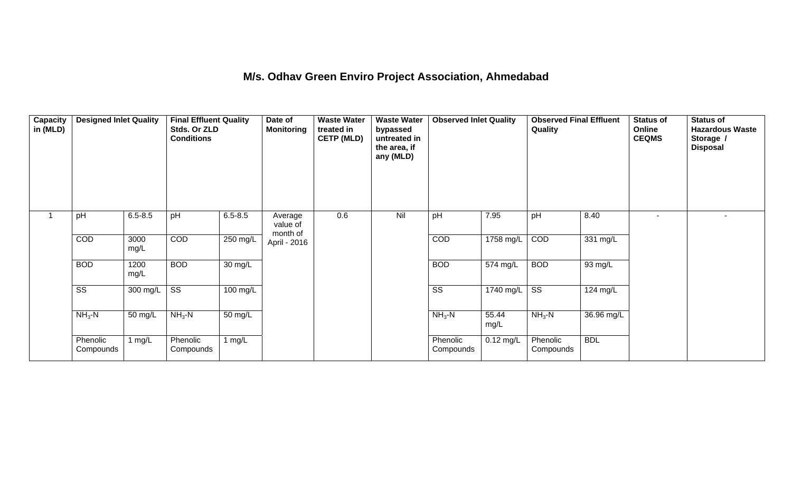## **M/s. Odhav Green Enviro Project Association, Ahmedabad**

| Capacity<br>in (MLD) | <b>Designed Inlet Quality</b> |              | <b>Final Effluent Quality</b><br>Stds. Or ZLD<br><b>Conditions</b> |             | Date of<br><b>Monitoring</b>    | <b>Waste Water</b><br>treated in<br><b>CETP (MLD)</b> | <b>Waste Water</b><br>bypassed<br>untreated in<br>the area, if<br>any (MLD) | <b>Observed Inlet Quality</b> |               | <b>Observed Final Effluent</b><br>Quality |            | <b>Status of</b><br>Online<br><b>CEQMS</b> | <b>Status of</b><br><b>Hazardous Waste</b><br>Storage /<br><b>Disposal</b> |
|----------------------|-------------------------------|--------------|--------------------------------------------------------------------|-------------|---------------------------------|-------------------------------------------------------|-----------------------------------------------------------------------------|-------------------------------|---------------|-------------------------------------------|------------|--------------------------------------------|----------------------------------------------------------------------------|
| $\mathbf{1}$         | pH                            | $6.5 - 8.5$  | pH                                                                 | $6.5 - 8.5$ | Average<br>value of<br>month of | 0.6                                                   | Nil                                                                         | pH                            | 7.95          | pH                                        | 8.40       | $\sim$                                     | $\overline{\phantom{a}}$                                                   |
|                      | COD                           | 3000<br>mg/L | COD                                                                | $250$ mg/L  | April - 2016                    |                                                       |                                                                             | COD                           | 1758 mg/L     | COD                                       | 331 mg/L   |                                            |                                                                            |
|                      | <b>BOD</b>                    | 1200<br>mg/L | <b>BOD</b>                                                         | 30 mg/L     |                                 |                                                       |                                                                             | <b>BOD</b>                    | 574 mg/L      | <b>BOD</b>                                | 93 mg/L    |                                            |                                                                            |
|                      | $\overline{\text{ss}}$        | 300 mg/L     | $\overline{\text{ss}}$                                             | 100 mg/L    |                                 |                                                       |                                                                             | $\overline{\text{ss}}$        | $1740$ mg/L   | $\overline{\text{ss}}$                    | 124 mg/L   |                                            |                                                                            |
|                      | $NH3-N$                       | 50 mg/L      | $NH3$ -N                                                           | 50 mg/L     |                                 |                                                       |                                                                             | $NH3-N$                       | 55.44<br>mg/L | $NH3 - N$                                 | 36.96 mg/L |                                            |                                                                            |
|                      | Phenolic<br>Compounds         | 1 $mg/L$     | Phenolic<br>Compounds                                              | 1 $mg/L$    |                                 |                                                       |                                                                             | Phenolic<br>Compounds         | $0.12$ mg/L   | Phenolic<br>Compounds                     | <b>BDL</b> |                                            |                                                                            |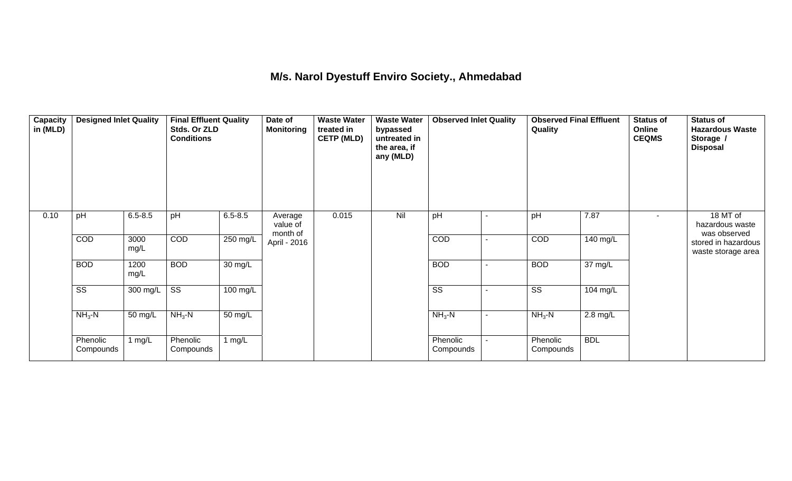## **M/s. Narol Dyestuff Enviro Society., Ahmedabad**

| Capacity<br>in (MLD) | <b>Designed Inlet Quality</b> |              | <b>Final Effluent Quality</b><br>Stds. Or ZLD<br><b>Conditions</b> |             | Date of<br><b>Monitoring</b>    | <b>Waste Water</b><br>treated in<br><b>CETP (MLD)</b> | <b>Waste Water</b><br>bypassed<br>untreated in<br>the area, if<br>any (MLD) | <b>Observed Inlet Quality</b> |                | <b>Observed Final Effluent</b><br>Quality |                      | <b>Status of</b><br>Online<br><b>CEQMS</b> | <b>Status of</b><br><b>Hazardous Waste</b><br>Storage /<br>Disposal |
|----------------------|-------------------------------|--------------|--------------------------------------------------------------------|-------------|---------------------------------|-------------------------------------------------------|-----------------------------------------------------------------------------|-------------------------------|----------------|-------------------------------------------|----------------------|--------------------------------------------|---------------------------------------------------------------------|
| 0.10                 | pH                            | $6.5 - 8.5$  | pH                                                                 | $6.5 - 8.5$ | Average<br>value of<br>month of | 0.015                                                 | Nil                                                                         | pH                            |                | pH                                        | 7.87                 |                                            | 18 MT of<br>hazardous waste<br>was observed                         |
|                      | COD                           | 3000<br>mg/L | COD                                                                | $250$ mg/L  | April - 2016                    |                                                       |                                                                             | COD                           |                | COD                                       | 140 mg/L             |                                            | stored in hazardous<br>waste storage area                           |
|                      | <b>BOD</b>                    | 1200<br>mg/L | <b>BOD</b>                                                         | 30 mg/L     |                                 |                                                       |                                                                             | <b>BOD</b>                    |                | <b>BOD</b>                                | $\overline{37}$ mg/L |                                            |                                                                     |
|                      | $\overline{\text{ss}}$        | 300 mg/L     | $\overline{\text{ss}}$                                             | 100 mg/L    |                                 |                                                       |                                                                             | $\overline{\text{ss}}$        |                | $\overline{\text{ss}}$                    | 104 mg/L             |                                            |                                                                     |
|                      | $NH3-N$                       | 50 mg/L      | $NH3$ -N                                                           | 50 mg/L     |                                 |                                                       |                                                                             | $NH3-N$                       | $\blacksquare$ | $NH3 - N$                                 | $2.8$ mg/L           |                                            |                                                                     |
|                      | Phenolic<br>Compounds         | 1 mg/L       | Phenolic<br>Compounds                                              | 1 $mg/L$    |                                 |                                                       |                                                                             | Phenolic<br>Compounds         |                | Phenolic<br>Compounds                     | <b>BDL</b>           |                                            |                                                                     |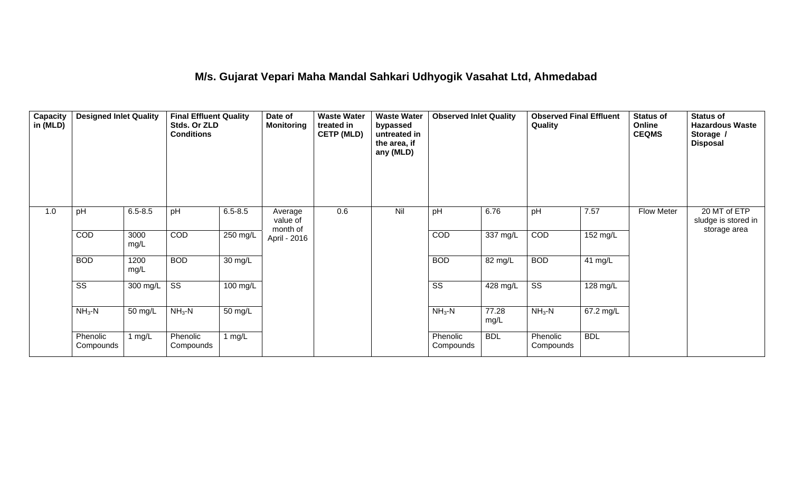#### **M/s. Gujarat Vepari Maha Mandal Sahkari Udhyogik Vasahat Ltd, Ahmedabad**

| Capacity<br>in (MLD) | <b>Designed Inlet Quality</b> |              | <b>Final Effluent Quality</b><br>Stds. Or ZLD<br><b>Conditions</b> |                    | Date of<br><b>Monitoring</b>    | <b>Waste Water</b><br>treated in<br><b>CETP (MLD)</b> | <b>Waste Water</b><br>bypassed<br>untreated in<br>the area, if<br>any (MLD) | <b>Observed Inlet Quality</b> |               | <b>Observed Final Effluent</b><br>Quality |            | <b>Status of</b><br>Online<br><b>CEQMS</b> | <b>Status of</b><br><b>Hazardous Waste</b><br>Storage /<br><b>Disposal</b> |
|----------------------|-------------------------------|--------------|--------------------------------------------------------------------|--------------------|---------------------------------|-------------------------------------------------------|-----------------------------------------------------------------------------|-------------------------------|---------------|-------------------------------------------|------------|--------------------------------------------|----------------------------------------------------------------------------|
| 1.0                  | pH                            | $6.5 - 8.5$  | pH                                                                 | $6.5 - 8.5$        | Average<br>value of<br>month of | 0.6                                                   | Nil                                                                         | pH                            | 6.76          | pH                                        | 7.57       | Flow Meter                                 | 20 MT of ETP<br>sludge is stored in<br>storage area                        |
|                      | COD                           | 3000<br>mg/L | <b>COD</b>                                                         | 250 mg/L           | April - 2016                    |                                                       |                                                                             | COD                           | 337 mg/L      | COD                                       | 152 mg/L   |                                            |                                                                            |
|                      | <b>BOD</b>                    | 1200<br>mg/L | <b>BOD</b>                                                         | 30 mg/L            |                                 |                                                       |                                                                             | <b>BOD</b>                    | 82 mg/L       | <b>BOD</b>                                | 41 $mg/L$  |                                            |                                                                            |
|                      | $\overline{\text{ss}}$        | 300 mg/L     | $\overline{\text{SS}}$                                             | $100 \text{ mg/L}$ |                                 |                                                       |                                                                             | $\overline{\text{ss}}$        | 428 mg/L      | $\overline{\text{SS}}$                    | 128 mg/L   |                                            |                                                                            |
|                      | $NH3-N$                       | 50 mg/L      | $NH3-N$                                                            | 50 mg/L            |                                 |                                                       |                                                                             | $NH3-N$                       | 77.28<br>mg/L | $NH3-N$                                   | 67.2 mg/L  |                                            |                                                                            |
|                      | Phenolic<br>Compounds         | 1 $mg/L$     | Phenolic<br>Compounds                                              | 1 mg/L             |                                 |                                                       |                                                                             | Phenolic<br>Compounds         | <b>BDL</b>    | Phenolic<br>Compounds                     | <b>BDL</b> |                                            |                                                                            |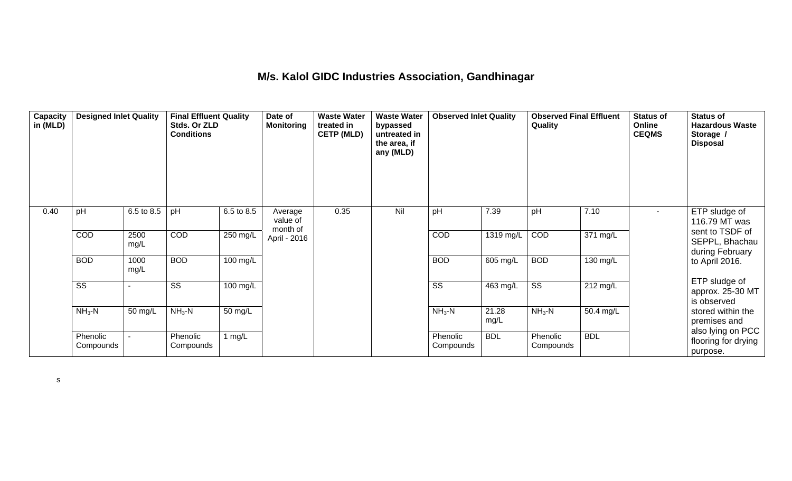#### **M/s. Kalol GIDC Industries Association, Gandhinagar**

| Capacity<br>in (MLD) | <b>Designed Inlet Quality</b> |              | <b>Final Effluent Quality</b><br>Stds. Or ZLD<br><b>Conditions</b> |            | Date of<br><b>Monitoring</b>    | <b>Waste Water</b><br>treated in<br><b>CETP (MLD)</b> | <b>Waste Water</b><br>bypassed<br>untreated in<br>the area, if<br>any (MLD) | <b>Observed Inlet Quality</b> |               | <b>Observed Final Effluent</b><br>Quality |                       | <b>Status of</b><br>Online<br><b>CEQMS</b> | <b>Status of</b><br><b>Hazardous Waste</b><br>Storage /<br><b>Disposal</b> |
|----------------------|-------------------------------|--------------|--------------------------------------------------------------------|------------|---------------------------------|-------------------------------------------------------|-----------------------------------------------------------------------------|-------------------------------|---------------|-------------------------------------------|-----------------------|--------------------------------------------|----------------------------------------------------------------------------|
| 0.40                 | pH                            | 6.5 to 8.5   | pH                                                                 | 6.5 to 8.5 | Average<br>value of<br>month of | 0.35                                                  | Nil                                                                         | pH                            | 7.39          | pH                                        | 7.10                  | $\sim$                                     | ETP sludge of<br>116.79 MT was                                             |
|                      | COD                           | 2500<br>mg/L | COD                                                                | $250$ mg/L | April - 2016                    |                                                       |                                                                             | COD                           | 1319 mg/L     | COD                                       | $\overline{371}$ mg/L |                                            | sent to TSDF of<br>SEPPL, Bhachau<br>during February                       |
|                      | <b>BOD</b>                    | 1000<br>mg/L | <b>BOD</b>                                                         | 100 mg/L   |                                 |                                                       |                                                                             | <b>BOD</b>                    | 605 mg/L      | <b>BOD</b>                                | 130 mg/L              |                                            | to April 2016.                                                             |
|                      | SS                            |              | SS                                                                 | 100 mg/L   |                                 |                                                       |                                                                             | SS                            | 463 mg/L      | SS                                        | 212 mg/L              |                                            | ETP sludge of<br>approx. 25-30 MT<br>is observed                           |
|                      | $NH3-N$                       | 50 mg/L      | $NH3 - N$                                                          | 50 mg/L    |                                 |                                                       |                                                                             | $NH3-N$                       | 21.28<br>mg/L | $NH3-N$                                   | 50.4 mg/L             |                                            | stored within the<br>premises and                                          |
|                      | Phenolic<br>Compounds         |              | Phenolic<br>Compounds                                              | 1 mg/L     |                                 |                                                       |                                                                             | Phenolic<br>Compounds         | <b>BDL</b>    | Phenolic<br>Compounds                     | <b>BDL</b>            |                                            | also lying on PCC<br>flooring for drying<br>purpose.                       |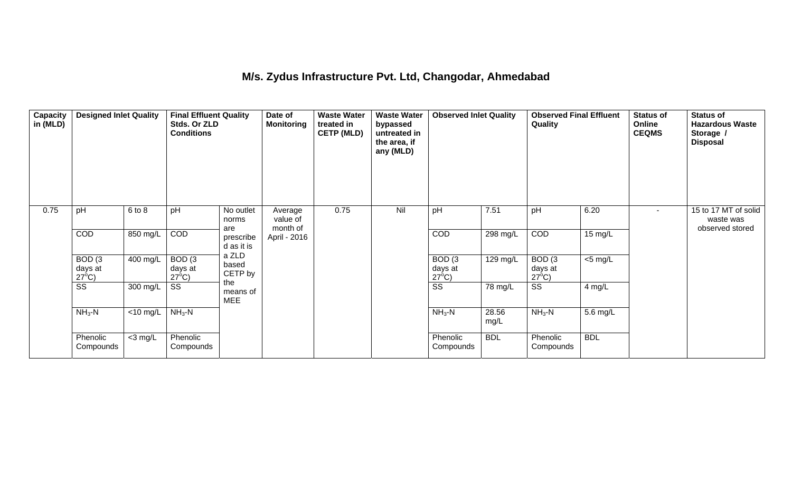## **M/s. Zydus Infrastructure Pvt. Ltd, Changodar, Ahmedabad**

| Capacity<br>in (MLD) | <b>Designed Inlet Quality</b>        |             | <b>Final Effluent Quality</b><br>Stds. Or ZLD<br><b>Conditions</b> |                                | Date of<br><b>Monitoring</b> | <b>Waste Water</b><br>treated in<br><b>CETP (MLD)</b> | <b>Waste Water</b><br>bypassed<br>untreated in<br>the area, if<br>any (MLD) | <b>Observed Inlet Quality</b>        |               | <b>Observed Final Effluent</b><br>Quality |                   | <b>Status of</b><br>Online<br><b>CEQMS</b> | <b>Status of</b><br><b>Hazardous Waste</b><br>Storage /<br><b>Disposal</b> |
|----------------------|--------------------------------------|-------------|--------------------------------------------------------------------|--------------------------------|------------------------------|-------------------------------------------------------|-----------------------------------------------------------------------------|--------------------------------------|---------------|-------------------------------------------|-------------------|--------------------------------------------|----------------------------------------------------------------------------|
| 0.75                 | pH                                   | 6 to 8      | pH                                                                 | No outlet<br>norms             | Average<br>value of          | 0.75                                                  | Nil                                                                         | pH                                   | 7.51          | pH                                        | 6.20              | $\overline{\phantom{a}}$                   | 15 to 17 MT of solid<br>waste was                                          |
|                      | COD                                  | 850 mg/L    | COD                                                                | are<br>prescribe<br>d as it is | month of<br>April - 2016     |                                                       |                                                                             | <b>COD</b>                           | 298 mg/L      | COD                                       | $15 \text{ mg/L}$ |                                            | observed stored                                                            |
|                      | BOD(3)<br>days at<br>$27^{\circ}$ C) | $400$ mg/L  | BOD(3)<br>days at<br>$27^{\circ}$ C)                               | a ZLD<br>based<br>CETP by      |                              |                                                       |                                                                             | BOD(3)<br>days at<br>$27^{\circ}$ C) | 129 mg/L      | BOD(3)<br>days at<br>$27^{\circ}$ C)      | $<$ 5 mg/L        |                                            |                                                                            |
|                      | $\overline{\text{SS}}$               | 300 mg/L    | SS                                                                 | the<br>means of<br><b>MEE</b>  |                              |                                                       |                                                                             | $\overline{\text{ss}}$               | 78 mg/L       | $\overline{\text{ss}}$                    | 4 mg/L            |                                            |                                                                            |
|                      | $NH3-N$                              | $<$ 10 mg/L | $NH3-N$                                                            |                                |                              |                                                       |                                                                             | $NH3-N$                              | 28.56<br>mg/L | $NH3 - N$                                 | 5.6 mg/L          |                                            |                                                                            |
|                      | Phenolic<br>Compounds                | $<$ 3 mg/L  | Phenolic<br>Compounds                                              |                                |                              |                                                       |                                                                             | Phenolic<br>Compounds                | <b>BDL</b>    | Phenolic<br>Compounds                     | <b>BDL</b>        |                                            |                                                                            |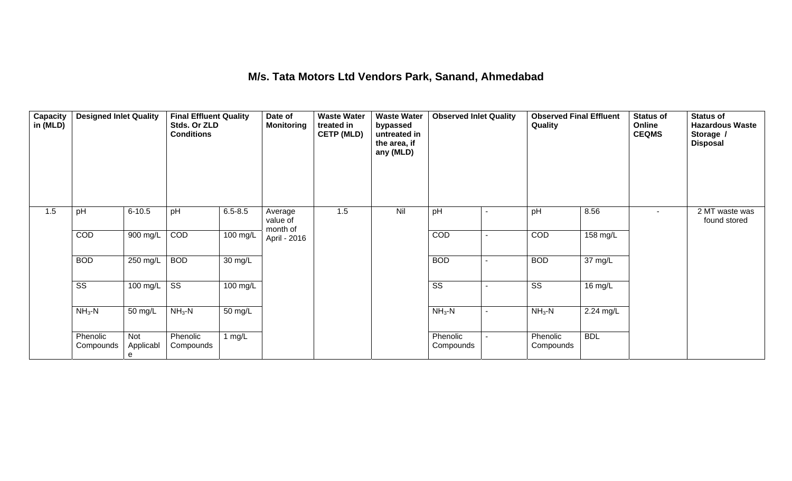#### **M/s. Tata Motors Ltd Vendors Park, Sanand, Ahmedabad**

| Capacity<br>in (MLD) | <b>Designed Inlet Quality</b> |                       | <b>Final Effluent Quality</b><br>Stds. Or ZLD<br><b>Conditions</b> |             | Date of<br><b>Monitoring</b>    | <b>Waste Water</b><br>treated in<br><b>CETP (MLD)</b> | <b>Waste Water</b><br>bypassed<br>untreated in<br>the area, if<br>any (MLD) | <b>Observed Inlet Quality</b> |                | <b>Observed Final Effluent</b><br>Quality |            | <b>Status of</b><br>Online<br><b>CEQMS</b> | <b>Status of</b><br><b>Hazardous Waste</b><br>Storage /<br><b>Disposal</b> |
|----------------------|-------------------------------|-----------------------|--------------------------------------------------------------------|-------------|---------------------------------|-------------------------------------------------------|-----------------------------------------------------------------------------|-------------------------------|----------------|-------------------------------------------|------------|--------------------------------------------|----------------------------------------------------------------------------|
| 1.5                  | pH                            | $6 - 10.5$            | pH                                                                 | $6.5 - 8.5$ | Average<br>value of<br>month of | 1.5                                                   | Nil                                                                         | pH                            |                | pH                                        | 8.56       | $\blacksquare$                             | 2 MT waste was<br>found stored                                             |
|                      | COD                           | 900 mg/L              | COD                                                                | 100 mg/L    | April - 2016                    |                                                       |                                                                             | COD                           | $\blacksquare$ | COD                                       | 158 mg/L   |                                            |                                                                            |
|                      | <b>BOD</b>                    | $250$ mg/L            | <b>BOD</b>                                                         | 30 mg/L     |                                 |                                                       |                                                                             | <b>BOD</b>                    |                | <b>BOD</b>                                | 37 mg/L    |                                            |                                                                            |
|                      | $\overline{\text{ss}}$        | 100 mg/L              | $\overline{\text{SS}}$                                             | 100 mg/L    |                                 |                                                       |                                                                             | $\overline{\text{ss}}$        |                | $\overline{\text{ss}}$                    | 16 mg/L    |                                            |                                                                            |
|                      | $NH3$ -N                      | 50 mg/L               | $NH3-N$                                                            | 50 mg/L     |                                 |                                                       |                                                                             | $NH3-N$                       | ٠              | $NH3-N$                                   | 2.24 mg/L  |                                            |                                                                            |
|                      | Phenolic<br>Compounds         | Not<br>Applicabl<br>e | Phenolic<br>Compounds                                              | 1 $mg/L$    |                                 |                                                       |                                                                             | Phenolic<br>Compounds         |                | Phenolic<br>Compounds                     | <b>BDL</b> |                                            |                                                                            |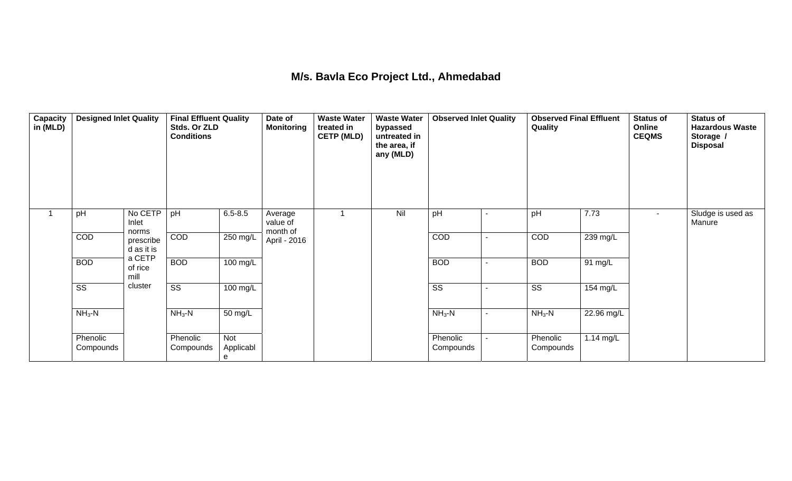# **M/s. Bavla Eco Project Ltd., Ahmedabad**

| Capacity<br>in (MLD) | <b>Designed Inlet Quality</b> |                           | <b>Final Effluent Quality</b><br>Stds. Or ZLD<br><b>Conditions</b> |                       | Date of<br><b>Monitoring</b>    | <b>Waste Water</b><br>treated in<br><b>CETP (MLD)</b> | <b>Waste Water</b><br>bypassed<br>untreated in<br>the area, if<br>any (MLD) | <b>Observed Inlet Quality</b> |                          | <b>Observed Final Effluent</b><br>Quality |            | <b>Status of</b><br>Online<br><b>CEQMS</b> | <b>Status of</b><br><b>Hazardous Waste</b><br>Storage /<br><b>Disposal</b> |
|----------------------|-------------------------------|---------------------------|--------------------------------------------------------------------|-----------------------|---------------------------------|-------------------------------------------------------|-----------------------------------------------------------------------------|-------------------------------|--------------------------|-------------------------------------------|------------|--------------------------------------------|----------------------------------------------------------------------------|
|                      | pH                            | No CETP<br>Inlet<br>norms | pH                                                                 | $6.5 - 8.5$           | Average<br>value of<br>month of |                                                       | Nil                                                                         | pH                            | ٠                        | pH                                        | 7.73       | $\sim$                                     | Sludge is used as<br>Manure                                                |
|                      | COD                           | prescribe<br>d as it is   | COD                                                                | 250 mg/L              | April - 2016                    |                                                       |                                                                             | COD                           | $\overline{\phantom{0}}$ | COD                                       | $239$ mg/L |                                            |                                                                            |
|                      | <b>BOD</b>                    | a CETP<br>of rice<br>mill | <b>BOD</b>                                                         | $100 \text{ mg/L}$    |                                 |                                                       |                                                                             | <b>BOD</b>                    | ۰                        | <b>BOD</b>                                | 91 mg/L    |                                            |                                                                            |
|                      | $\overline{\text{ss}}$        | cluster                   | $\overline{\text{ss}}$                                             | 100 mg/L              |                                 |                                                       |                                                                             | $\overline{\text{ss}}$        | $\blacksquare$           | $\overline{\text{ss}}$                    | 154 mg/L   |                                            |                                                                            |
|                      | $NH3-N$                       |                           | $NH3-N$                                                            | 50 mg/L               |                                 |                                                       |                                                                             | $NH3-N$                       | $\blacksquare$           | $NH3$ -N                                  | 22.96 mg/L |                                            |                                                                            |
|                      | Phenolic<br>Compounds         |                           | Phenolic<br>Compounds                                              | Not<br>Applicabl<br>e |                                 |                                                       |                                                                             | Phenolic<br>Compounds         |                          | Phenolic<br>Compounds                     | 1.14 mg/L  |                                            |                                                                            |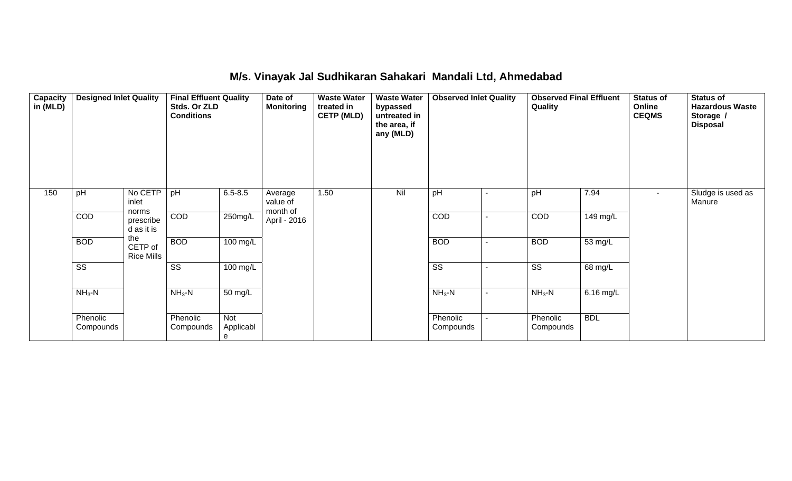#### **M/s. Vinayak Jal Sudhikaran Sahakari Mandali Ltd, Ahmedabad**

| Capacity<br>in (MLD) | <b>Designed Inlet Quality</b> |                                     | <b>Final Effluent Quality</b><br>Stds. Or ZLD<br><b>Conditions</b> |                       | Date of<br><b>Monitoring</b>    | <b>Waste Water</b><br>treated in<br><b>CETP (MLD)</b> | <b>Waste Water</b><br>bypassed<br>untreated in<br>the area, if<br>any (MLD) | <b>Observed Inlet Quality</b> |                | <b>Observed Final Effluent</b><br>Quality |            | <b>Status of</b><br>Online<br><b>CEQMS</b> | <b>Status of</b><br><b>Hazardous Waste</b><br>Storage /<br><b>Disposal</b> |
|----------------------|-------------------------------|-------------------------------------|--------------------------------------------------------------------|-----------------------|---------------------------------|-------------------------------------------------------|-----------------------------------------------------------------------------|-------------------------------|----------------|-------------------------------------------|------------|--------------------------------------------|----------------------------------------------------------------------------|
| 150                  | pH                            | No CETP<br>inlet                    | pH                                                                 | $6.5 - 8.5$           | Average<br>value of<br>month of | 1.50                                                  | Nil                                                                         | pH                            | $\blacksquare$ | pH                                        | 7.94       | $\overline{\phantom{a}}$                   | Sludge is used as<br>Manure                                                |
|                      | COD                           | norms<br>prescribe<br>d as it is    | COD                                                                | 250mg/L               | April - 2016                    |                                                       |                                                                             | COD                           | $\sim$         | COD                                       | 149 mg/L   |                                            |                                                                            |
|                      | <b>BOD</b>                    | the<br>CETP of<br><b>Rice Mills</b> | <b>BOD</b>                                                         | 100 mg/L              |                                 |                                                       |                                                                             | <b>BOD</b>                    | $\blacksquare$ | <b>BOD</b>                                | 53 mg/L    |                                            |                                                                            |
|                      | $\overline{\text{SS}}$        |                                     | $\overline{\text{SS}}$                                             | $\overline{100}$ mg/L |                                 |                                                       |                                                                             | $\overline{\text{SS}}$        | $\blacksquare$ | $\overline{\text{SS}}$                    | 68 mg/L    |                                            |                                                                            |
|                      | $NH3$ -N                      |                                     | $NH3-N$                                                            | 50 mg/L               |                                 |                                                       |                                                                             | $NH3-N$                       | $\blacksquare$ | $NH3$ -N                                  | 6.16 mg/L  |                                            |                                                                            |
|                      | Phenolic<br>Compounds         |                                     | Phenolic<br>Compounds                                              | Not<br>Applicabl<br>e |                                 |                                                       |                                                                             | Phenolic<br>Compounds         | $\sim$         | Phenolic<br>Compounds                     | <b>BDL</b> |                                            |                                                                            |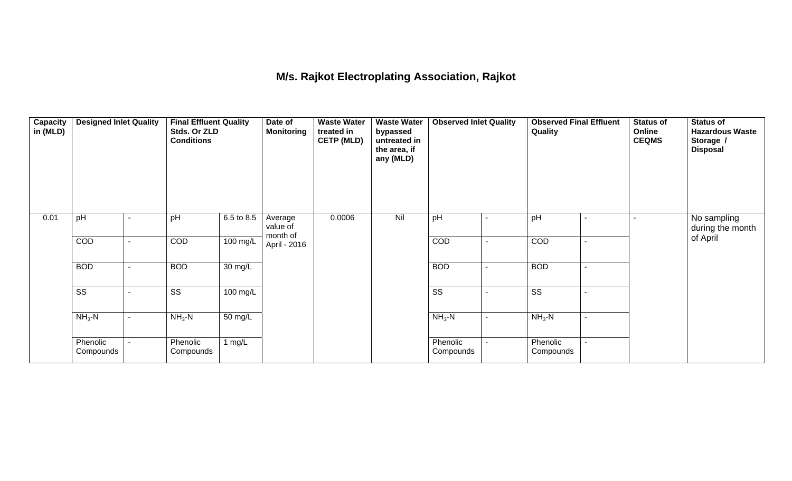## **M/s. Rajkot Electroplating Association, Rajkot**

| <b>Capacity</b><br>in (MLD) | <b>Designed Inlet Quality</b> |                          | <b>Final Effluent Quality</b><br>Stds. Or ZLD<br><b>Conditions</b> |            | Date of<br>Monitoring           | <b>Waste Water</b><br>treated in<br><b>CETP (MLD)</b> | <b>Waste Water</b><br>bypassed<br>untreated in<br>the area, if<br>any (MLD) | <b>Observed Inlet Quality</b> |                | <b>Observed Final Effluent</b><br>Quality |                          | Status of<br>Online<br><b>CEQMS</b> | <b>Status of</b><br><b>Hazardous Waste</b><br>Storage /<br><b>Disposal</b> |
|-----------------------------|-------------------------------|--------------------------|--------------------------------------------------------------------|------------|---------------------------------|-------------------------------------------------------|-----------------------------------------------------------------------------|-------------------------------|----------------|-------------------------------------------|--------------------------|-------------------------------------|----------------------------------------------------------------------------|
| 0.01                        | pH                            |                          | pH                                                                 | 6.5 to 8.5 | Average<br>value of<br>month of | 0.0006                                                | Nil                                                                         | pH                            | ٠              | pH                                        | $\overline{\phantom{a}}$ |                                     | No sampling<br>during the month                                            |
|                             | COD                           |                          | COD                                                                | 100 mg/L   | April - 2016                    |                                                       |                                                                             | COD                           | ٠              | COD                                       | $\blacksquare$           |                                     | of April                                                                   |
|                             | <b>BOD</b>                    | $\overline{\phantom{a}}$ | <b>BOD</b>                                                         | 30 mg/L    |                                 |                                                       |                                                                             | <b>BOD</b>                    | $\blacksquare$ | <b>BOD</b>                                | $\blacksquare$           |                                     |                                                                            |
|                             | $\overline{\text{ss}}$        |                          | $\overline{\text{ss}}$                                             | 100 mg/L   |                                 |                                                       |                                                                             | $\overline{\text{ss}}$        | ۰              | $\overline{\text{ss}}$                    | $\blacksquare$           |                                     |                                                                            |
|                             | $NH3-N$                       |                          | $NH3 - N$                                                          | 50 mg/L    |                                 |                                                       |                                                                             | $NH3-N$                       | ٠              | $NH3-N$                                   | $\blacksquare$           |                                     |                                                                            |
|                             | Phenolic<br>Compounds         |                          | Phenolic<br>Compounds                                              | 1 $mg/L$   |                                 |                                                       |                                                                             | Phenolic<br>Compounds         |                | Phenolic<br>Compounds                     |                          |                                     |                                                                            |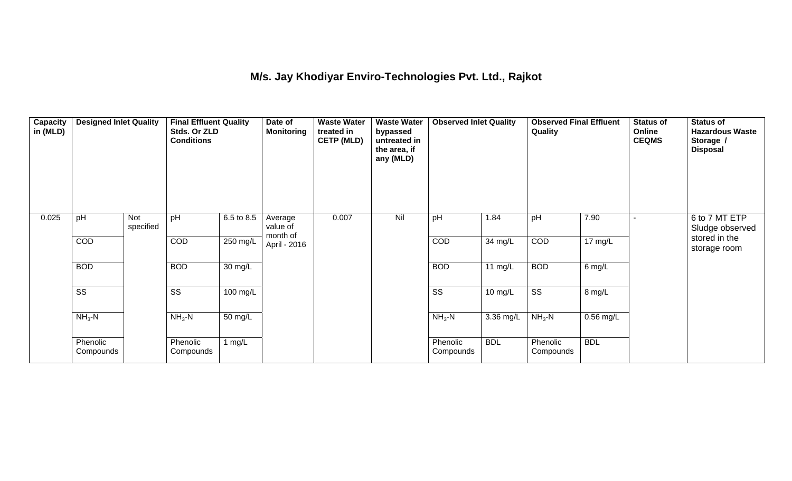#### **M/s. Jay Khodiyar Enviro-Technologies Pvt. Ltd., Rajkot**

| Capacity<br>in (MLD) | <b>Designed Inlet Quality</b> |                  | <b>Final Effluent Quality</b><br>Stds. Or ZLD<br><b>Conditions</b> |                      | Date of<br><b>Monitoring</b>    | <b>Waste Water</b><br>treated in<br><b>CETP (MLD)</b> | <b>Waste Water</b><br>bypassed<br>untreated in<br>the area, if<br>any (MLD) | <b>Observed Inlet Quality</b> |                   | <b>Observed Final Effluent</b><br>Quality |                   | <b>Status of</b><br>Online<br><b>CEQMS</b> | <b>Status of</b><br><b>Hazardous Waste</b><br>Storage /<br><b>Disposal</b> |
|----------------------|-------------------------------|------------------|--------------------------------------------------------------------|----------------------|---------------------------------|-------------------------------------------------------|-----------------------------------------------------------------------------|-------------------------------|-------------------|-------------------------------------------|-------------------|--------------------------------------------|----------------------------------------------------------------------------|
| 0.025                | pH                            | Not<br>specified | pH                                                                 | 6.5 to 8.5           | Average<br>value of<br>month of | 0.007                                                 | Nil                                                                         | pH                            | 1.84              | pH                                        | 7.90              |                                            | 6 to 7 MT ETP<br>Sludge observed                                           |
|                      | COD                           |                  | COD                                                                | $250$ mg/L           | April - 2016                    |                                                       |                                                                             | COD                           | 34 mg/L           | COD                                       | $17 \text{ mg/L}$ |                                            | stored in the<br>storage room                                              |
|                      | <b>BOD</b>                    |                  | <b>BOD</b>                                                         | $\overline{30}$ mg/L |                                 |                                                       |                                                                             | <b>BOD</b>                    | 11 $mg/L$         | <b>BOD</b>                                | 6 mg/L            |                                            |                                                                            |
|                      | $\overline{\text{ss}}$        |                  | $\overline{\text{SS}}$                                             | 100 mg/L             |                                 |                                                       |                                                                             | $\overline{\text{ss}}$        | $10 \text{ mg/L}$ | $\overline{\text{ss}}$                    | 8 mg/L            |                                            |                                                                            |
|                      | $NH3-N$                       |                  | $NH3$ -N                                                           | 50 mg/L              |                                 |                                                       |                                                                             | $NH3-N$                       | 3.36 mg/L         | $NH3-N$                                   | $0.56$ mg/L       |                                            |                                                                            |
|                      | Phenolic<br>Compounds         |                  | Phenolic<br>Compounds                                              | 1 $mg/L$             |                                 |                                                       |                                                                             | Phenolic<br>Compounds         | <b>BDL</b>        | Phenolic<br>Compounds                     | <b>BDL</b>        |                                            |                                                                            |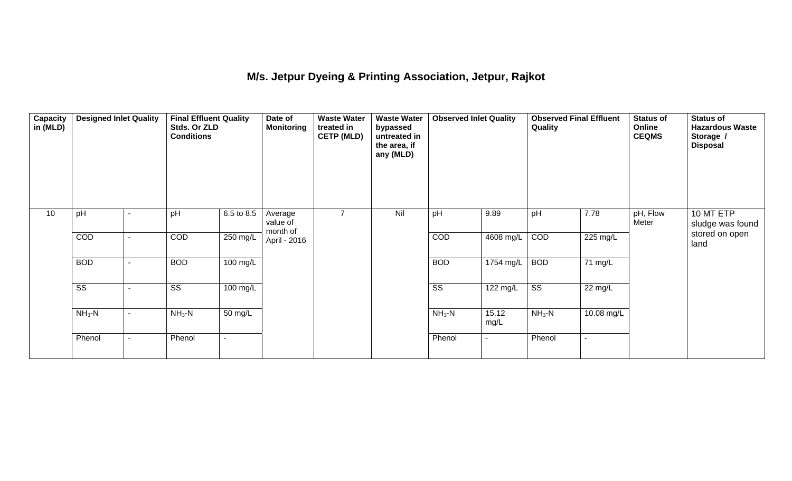## **M/s. Jetpur Dyeing & Printing Association, Jetpur, Rajkot**

| Capacity<br>in (MLD) | <b>Designed Inlet Quality</b> |                | <b>Final Effluent Quality</b><br>Stds. Or ZLD<br><b>Conditions</b> |                    | Date of<br><b>Monitoring</b>    | <b>Waste Water</b><br>treated in<br><b>CETP (MLD)</b> | <b>Waste Water</b><br>bypassed<br>untreated in<br>the area, if<br>any (MLD) | <b>Observed Inlet Quality</b> |                | <b>Observed Final Effluent</b><br>Quality |                      | <b>Status of</b><br>Online<br><b>CEQMS</b> | <b>Status of</b><br><b>Hazardous Waste</b><br>Storage /<br><b>Disposal</b> |
|----------------------|-------------------------------|----------------|--------------------------------------------------------------------|--------------------|---------------------------------|-------------------------------------------------------|-----------------------------------------------------------------------------|-------------------------------|----------------|-------------------------------------------|----------------------|--------------------------------------------|----------------------------------------------------------------------------|
| 10                   | pH                            |                | pH                                                                 | 6.5 to 8.5         | Average<br>value of<br>month of | $\overline{7}$                                        | Nil                                                                         | pH                            | 9.89           | pH                                        | 7.78                 | pH, Flow<br>Meter                          | 10 MT ETP<br>sludge was found                                              |
|                      | COD                           |                | COD                                                                | 250 mg/L           | April - 2016                    |                                                       |                                                                             | COD                           | 4608 mg/L      | COD                                       | 225 mg/L             |                                            | stored on open<br>land                                                     |
|                      | <b>BOD</b>                    |                | <b>BOD</b>                                                         | 100 mg/L           |                                 |                                                       |                                                                             | <b>BOD</b>                    | 1754 mg/L      | <b>BOD</b>                                | $\overline{71}$ mg/L |                                            |                                                                            |
|                      | $\overline{\text{SS}}$        |                | $\overline{\text{SS}}$                                             | $100 \text{ mg/L}$ |                                 |                                                       |                                                                             | $\overline{\text{ss}}$        | 122 mg/L       | $\overline{\text{ss}}$                    | $22 \text{ mg/L}$    |                                            |                                                                            |
|                      | $NH3-N$                       | $\blacksquare$ | $NH3-N$                                                            | 50 mg/L            |                                 |                                                       |                                                                             | $NH3-N$                       | 15.12<br>mg/L  | $NH3-N$                                   | 10.08 mg/L           |                                            |                                                                            |
|                      | Phenol                        | $\blacksquare$ | Phenol                                                             | $\blacksquare$     |                                 |                                                       |                                                                             | Phenol                        | $\blacksquare$ | Phenol                                    | $\blacksquare$       |                                            |                                                                            |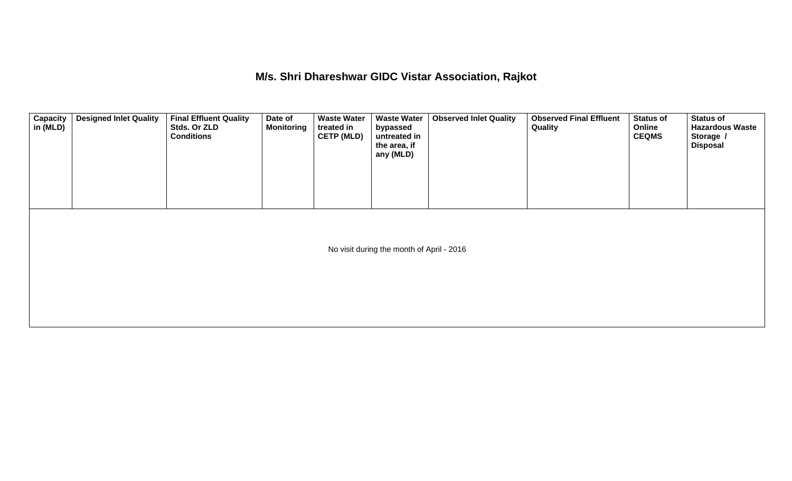**M/s. Shri Dhareshwar GIDC Vistar Association, Rajkot** 

| <b>Capacity</b><br>in (MLD) | <b>Designed Inlet Quality</b> | <b>Final Effluent Quality</b><br>Stds. Or ZLD<br><b>Conditions</b> | Date of<br><b>Monitoring</b> | <b>Waste Water</b><br>treated in<br><b>CETP (MLD)</b> | <b>Waste Water</b><br>bypassed<br>untreated in<br>the area, if<br>any (MLD) | <b>Observed Inlet Quality</b> | <b>Observed Final Effluent</b><br><b>Quality</b> | <b>Status of</b><br>Online<br><b>CEQMS</b> | <b>Status of</b><br><b>Hazardous Waste</b><br>Storage /<br><b>Disposal</b> |
|-----------------------------|-------------------------------|--------------------------------------------------------------------|------------------------------|-------------------------------------------------------|-----------------------------------------------------------------------------|-------------------------------|--------------------------------------------------|--------------------------------------------|----------------------------------------------------------------------------|
|                             |                               |                                                                    |                              |                                                       | No visit during the month of April - 2016                                   |                               |                                                  |                                            |                                                                            |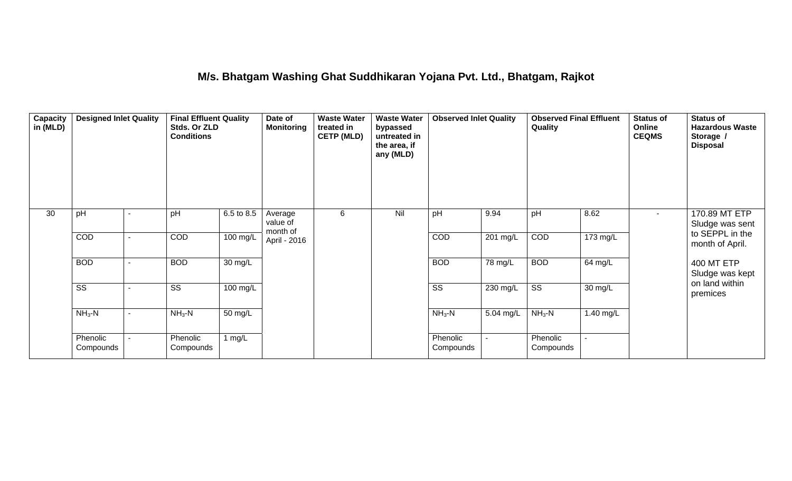#### **M/s. Bhatgam Washing Ghat Suddhikaran Yojana Pvt. Ltd., Bhatgam, Rajkot**

| <b>Capacity</b><br>in (MLD) | <b>Designed Inlet Quality</b> |  | <b>Final Effluent Quality</b><br>Stds. Or ZLD<br><b>Conditions</b> |                      | Date of<br><b>Monitoring</b>    | <b>Waste Water</b><br>treated in<br><b>CETP (MLD)</b> | <b>Waste Water</b><br>bypassed<br>untreated in<br>the area, if<br>any (MLD) | <b>Observed Inlet Quality</b> |           | <b>Observed Final Effluent</b><br>Quality |           | <b>Status of</b><br>Online<br><b>CEQMS</b> | <b>Status of</b><br><b>Hazardous Waste</b><br>Storage /<br><b>Disposal</b> |
|-----------------------------|-------------------------------|--|--------------------------------------------------------------------|----------------------|---------------------------------|-------------------------------------------------------|-----------------------------------------------------------------------------|-------------------------------|-----------|-------------------------------------------|-----------|--------------------------------------------|----------------------------------------------------------------------------|
| 30                          | pH                            |  | pH                                                                 | 6.5 to 8.5           | Average<br>value of<br>month of | 6                                                     | Nil                                                                         | pH                            | 9.94      | pH                                        | 8.62      | $\sim$                                     | 170.89 MT ETP<br>Sludge was sent                                           |
|                             | <b>COD</b>                    |  | COD                                                                | 100 mg/L             | April - 2016                    |                                                       |                                                                             | COD                           | 201 mg/L  | COD                                       | 173 mg/L  |                                            | to SEPPL in the<br>month of April.<br>400 MT ETP<br>Sludge was kept        |
|                             | <b>BOD</b>                    |  | <b>BOD</b>                                                         | $\overline{30}$ mg/L |                                 |                                                       |                                                                             | <b>BOD</b>                    | 78 mg/L   | <b>BOD</b>                                | 64 mg/L   |                                            |                                                                            |
|                             | $\overline{\text{SS}}$        |  | SS                                                                 | 100 mg/L             |                                 |                                                       |                                                                             | $\overline{\text{ss}}$        | 230 mg/L  | $\overline{\text{ss}}$                    | 30 mg/L   |                                            | on land within<br>premices                                                 |
|                             | $NH3$ -N                      |  | $NH3$ -N                                                           | 50 mg/L              |                                 |                                                       |                                                                             | $NH3-N$                       | 5.04 mg/L | $NH3$ -N                                  | 1.40 mg/L |                                            |                                                                            |
|                             | Phenolic<br>Compounds         |  | Phenolic<br>Compounds                                              | 1 $mg/L$             |                                 |                                                       |                                                                             | Phenolic<br>Compounds         | $\sim$    | Phenolic<br>Compounds                     |           |                                            |                                                                            |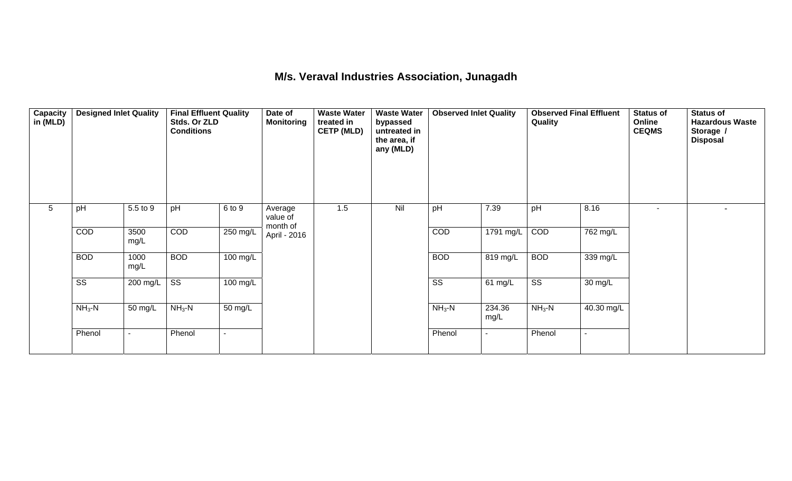## **M/s. Veraval Industries Association, Junagadh**

| Capacity<br>in (MLD) | <b>Designed Inlet Quality</b> |                  | <b>Final Effluent Quality</b><br>Stds. Or ZLD<br><b>Conditions</b> |                    | Date of<br><b>Monitoring</b>    | <b>Waste Water</b><br>treated in<br><b>CETP (MLD)</b> | <b>Waste Water</b><br>bypassed<br>untreated in<br>the area, if<br>any (MLD) | <b>Observed Inlet Quality</b> |                | <b>Observed Final Effluent</b><br>Quality |            | <b>Status of</b><br>Online<br><b>CEQMS</b> | <b>Status of</b><br><b>Hazardous Waste</b><br>Storage /<br><b>Disposal</b> |
|----------------------|-------------------------------|------------------|--------------------------------------------------------------------|--------------------|---------------------------------|-------------------------------------------------------|-----------------------------------------------------------------------------|-------------------------------|----------------|-------------------------------------------|------------|--------------------------------------------|----------------------------------------------------------------------------|
| 5                    | pH                            | 5.5 to 9         | pH                                                                 | 6 to 9             | Average<br>value of<br>month of | 1.5                                                   | Nil                                                                         | pH                            | 7.39           | pH                                        | 8.16       | $\blacksquare$                             |                                                                            |
|                      | COD                           | 3500<br>mg/L     | COD                                                                | 250 mg/L           | April - 2016                    |                                                       |                                                                             | COD                           | 1791 mg/L      | COD                                       | 762 mg/L   |                                            |                                                                            |
|                      | <b>BOD</b>                    | 1000<br>mg/L     | <b>BOD</b>                                                         | $100 \text{ mg/L}$ |                                 |                                                       |                                                                             | <b>BOD</b>                    | 819 mg/L       | <b>BOD</b>                                | 339 mg/L   |                                            |                                                                            |
|                      | $\overline{\text{ss}}$        | 200 mg/L $\vert$ | $\overline{\text{ss}}$                                             | $100 \text{ mg/L}$ |                                 |                                                       |                                                                             | $\overline{\text{ss}}$        | 61 mg/L        | $\overline{\text{ss}}$                    | 30 mg/L    |                                            |                                                                            |
|                      | $NH3-N$                       | 50 mg/L          | $NH3-N$                                                            | 50 mg/L            |                                 |                                                       |                                                                             | $NH3-N$                       | 234.36<br>mg/L | $NH3-N$                                   | 40.30 mg/L |                                            |                                                                            |
|                      | Phenol                        |                  | Phenol                                                             |                    |                                 |                                                       |                                                                             | Phenol                        |                | Phenol                                    |            |                                            |                                                                            |